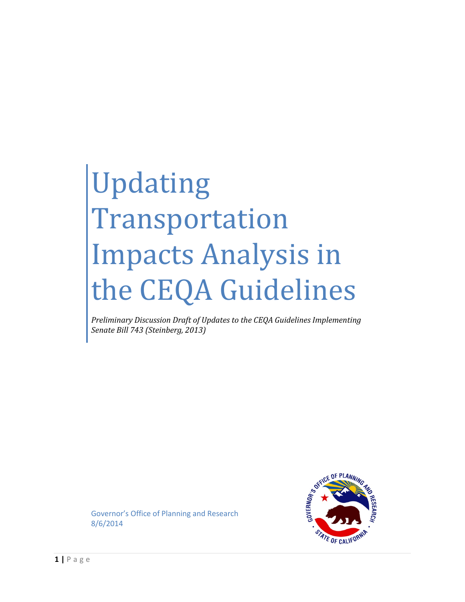# Updating Transportation Impacts Analysis in the CEQA Guidelines

*Preliminary Discussion Draft of Updates to the CEQA Guidelines Implementing Senate Bill 743 (Steinberg, 2013)*



Governor's Office of Planning and Research 8/6/2014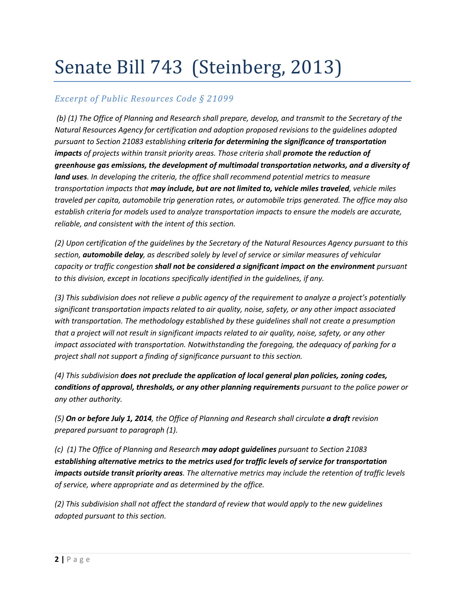# Senate Bill 743 (Steinberg, 2013)

### *Excerpt of Public Resources Code § 21099*

*(b) (1) The Office of Planning and Research shall prepare, develop, and transmit to the Secretary of the Natural Resources Agency for certification and adoption proposed revisions to the guidelines adopted pursuant to Section 21083 establishing criteria for determining the significance of transportation impacts of projects within transit priority areas. Those criteria shall promote the reduction of greenhouse gas emissions, the development of multimodal transportation networks, and a diversity of land uses. In developing the criteria, the office shall recommend potential metrics to measure transportation impacts that may include, but are not limited to, vehicle miles traveled, vehicle miles traveled per capita, automobile trip generation rates, or automobile trips generated. The office may also establish criteria for models used to analyze transportation impacts to ensure the models are accurate, reliable, and consistent with the intent of this section.*

*(2) Upon certification of the guidelines by the Secretary of the Natural Resources Agency pursuant to this section, automobile delay, as described solely by level of service or similar measures of vehicular capacity or traffic congestion shall not be considered a significant impact on the environment pursuant to this division, except in locations specifically identified in the guidelines, if any.*

*(3) This subdivision does not relieve a public agency of the requirement to analyze a project's potentially significant transportation impacts related to air quality, noise, safety, or any other impact associated with transportation. The methodology established by these guidelines shall not create a presumption that a project will not result in significant impacts related to air quality, noise, safety, or any other impact associated with transportation. Notwithstanding the foregoing, the adequacy of parking for a project shall not support a finding of significance pursuant to this section.*

*(4) This subdivision does not preclude the application of local general plan policies, zoning codes, conditions of approval, thresholds, or any other planning requirements pursuant to the police power or any other authority.*

*(5) On or before July 1, 2014, the Office of Planning and Research shall circulate a draft revision prepared pursuant to paragraph (1).*

*(c) (1) The Office of Planning and Research may adopt guidelines pursuant to Section 21083 establishing alternative metrics to the metrics used for traffic levels of service for transportation impacts outside transit priority areas. The alternative metrics may include the retention of traffic levels of service, where appropriate and as determined by the office.*

*(2) This subdivision shall not affect the standard of review that would apply to the new guidelines adopted pursuant to this section.*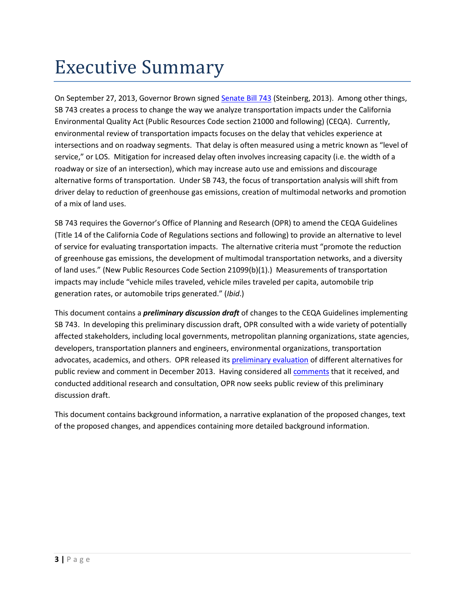# <span id="page-2-0"></span>Executive Summary

On September 27, 2013, Governor Brown signe[d Senate Bill 743](http://leginfo.legislature.ca.gov/faces/billNavClient.xhtml?bill_id=201320140SB743&search_keywords=) (Steinberg, 2013). Among other things, SB 743 creates a process to change the way we analyze transportation impacts under the California Environmental Quality Act (Public Resources Code section 21000 and following) (CEQA). Currently, environmental review of transportation impacts focuses on the delay that vehicles experience at intersections and on roadway segments. That delay is often measured using a metric known as "level of service," or LOS. Mitigation for increased delay often involves increasing capacity (i.e. the width of a roadway or size of an intersection), which may increase auto use and emissions and discourage alternative forms of transportation. Under SB 743, the focus of transportation analysis will shift from driver delay to reduction of greenhouse gas emissions, creation of multimodal networks and promotion of a mix of land uses.

SB 743 requires the Governor's Office of Planning and Research (OPR) to amend the CEQA Guidelines (Title 14 of the California Code of Regulations sections and following) to provide an alternative to level of service for evaluating transportation impacts. The alternative criteria must "promote the reduction of greenhouse gas emissions, the development of multimodal transportation networks, and a diversity of land uses." (New Public Resources Code Section 21099(b)(1).) Measurements of transportation impacts may include "vehicle miles traveled, vehicle miles traveled per capita, automobile trip generation rates, or automobile trips generated." (*Ibid*.)

This document contains a *preliminary discussion draft* of changes to the CEQA Guidelines implementing SB 743. In developing this preliminary discussion draft, OPR consulted with a wide variety of potentially affected stakeholders, including local governments, metropolitan planning organizations, state agencies, developers, transportation planners and engineers, environmental organizations, transportation advocates, academics, and others. OPR released its [preliminary evaluation](http://opr.ca.gov/docs/PreliminaryEvaluationTransportationMetrics.pdf) of different alternatives for public review and comment in December 2013. Having considered all **comments** that it received, and conducted additional research and consultation, OPR now seeks public review of this preliminary discussion draft.

This document contains background information, a narrative explanation of the proposed changes, text of the proposed changes, and appendices containing more detailed background information.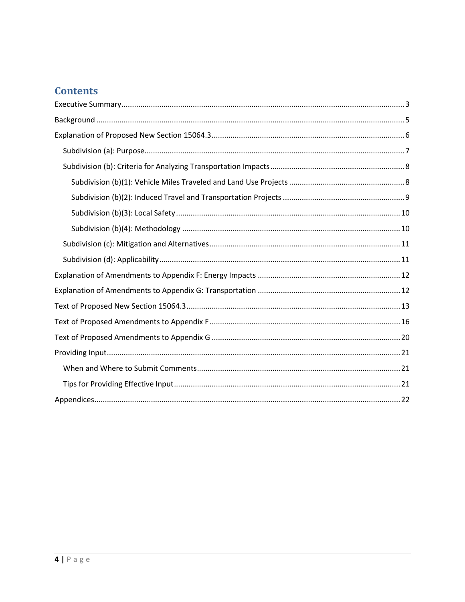# **Contents**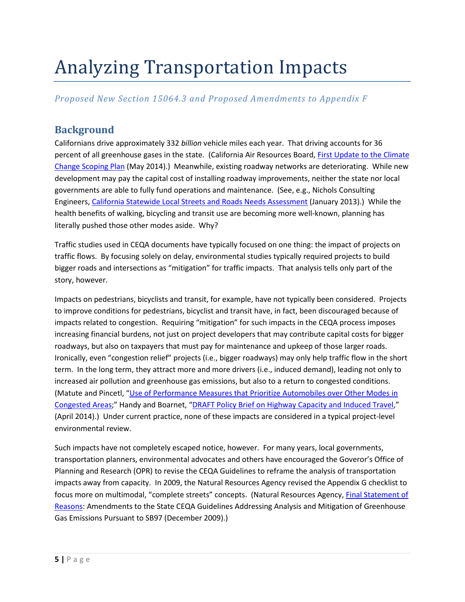# Analyzing Transportation Impacts

### *Proposed New Section 15064.3 and Proposed Amendments to Appendix F*

# <span id="page-4-0"></span>**Background**

Californians drive approximately 332 *billion* vehicle miles each year. That driving accounts for 36 percent of all greenhouse gases in the state. (California Air Resources Board, [First Update to the Climate](http://www.arb.ca.gov/cc/scopingplan/2013_update/first_update_climate_change_scoping_plan.pdf)  [Change Scoping Plan](http://www.arb.ca.gov/cc/scopingplan/2013_update/first_update_climate_change_scoping_plan.pdf) (May 2014).) Meanwhile, existing roadway networks are deteriorating. While new development may pay the capital cost of installing roadway improvements, neither the state nor local governments are able to fully fund operations and maintenance. (See, e.g., Nichols Consulting Engineers, [California Statewide Local Streets and Roads Needs Assessment](http://www.savecaliforniastreets.org/reports/2012/2012-FinalReport.pdf) (January 2013).) While the health benefits of walking, bicycling and transit use are becoming more well-known, planning has literally pushed those other modes aside. Why?

Traffic studies used in CEQA documents have typically focused on one thing: the impact of projects on traffic flows. By focusing solely on delay, environmental studies typically required projects to build bigger roads and intersections as "mitigation" for traffic impacts. That analysis tells only part of the story, however.

Impacts on pedestrians, bicyclists and transit, for example, have not typically been considered. Projects to improve conditions for pedestrians, bicyclist and transit have, in fact, been discouraged because of impacts related to congestion. Requiring "mitigation" for such impacts in the CEQA process imposes increasing financial burdens, not just on project developers that may contribute capital costs for bigger roadways, but also on taxpayers that must pay for maintenance and upkeep of those larger roads. Ironically, even "congestion relief" projects (i.e., bigger roadways) may only help traffic flow in the short term. In the long term, they attract more and more drivers (i.e., induced demand), leading not only to increased air pollution and greenhouse gas emissions, but also to a return to congested conditions. (Matute and Pincetl, ["Use of Performance Measures that Prioritize Automobiles over Other Modes in](http://next10.org/sites/next10.org/files/2.%20Prioritizing%20Automobiles%20over%20Other%20Modes%20of%20Transportation%20in%20Congested%20Areas.pdf)  [Congested Areas;](http://next10.org/sites/next10.org/files/2.%20Prioritizing%20Automobiles%20over%20Other%20Modes%20of%20Transportation%20in%20Congested%20Areas.pdf)" Handy and Boarnet, ["DRAFT Policy Brief on Highway Capacity and Induced Travel,](http://www.arb.ca.gov/cc/sb375/policies/hwycapacity/highway_capacity_brief-4-21-14.pdf)" (April 2014).) Under current practice, none of these impacts are considered in a typical project-level environmental review.

Such impacts have not completely escaped notice, however. For many years, local governments, transportation planners, environmental advocates and others have encouraged the Goveror's Office of Planning and Research (OPR) to revise the CEQA Guidelines to reframe the analysis of transportation impacts away from capacity. In 2009, the Natural Resources Agency revised the Appendix G checklist to focus more on multimodal, "complete streets" concepts. (Natural Resources Agency[, Final Statement of](http://resources.ca.gov/ceqa/docs/Final_Statement_of_Reasons.pdf)  [Reasons:](http://resources.ca.gov/ceqa/docs/Final_Statement_of_Reasons.pdf) Amendments to the State CEQA Guidelines Addressing Analysis and Mitigation of Greenhouse Gas Emissions Pursuant to SB97 (December 2009).)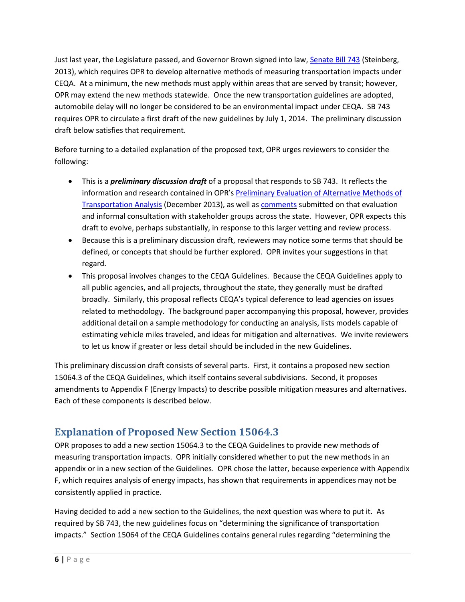Just last year, the Legislature passed, and Governor Brown signed into law, [Senate Bill 743](http://leginfo.legislature.ca.gov/faces/billNavClient.xhtml?bill_id=201320140SB743&search_keywords=) (Steinberg, 2013), which requires OPR to develop alternative methods of measuring transportation impacts under CEQA. At a minimum, the new methods must apply within areas that are served by transit; however, OPR may extend the new methods statewide. Once the new transportation guidelines are adopted, automobile delay will no longer be considered to be an environmental impact under CEQA. SB 743 requires OPR to circulate a first draft of the new guidelines by July 1, 2014. The preliminary discussion draft below satisfies that requirement.

Before turning to a detailed explanation of the proposed text, OPR urges reviewers to consider the following:

- This is a *preliminary discussion draft* of a proposal that responds to SB 743. It reflects the information and research contained in OPR'[s Preliminary Evaluation of Alternative Methods of](http://opr.ca.gov/docs/PreliminaryEvaluationTransportationMetrics.pdf)  [Transportation Analysis](http://opr.ca.gov/docs/PreliminaryEvaluationTransportationMetrics.pdf) (December 2013), as well a[s comments](http://opr.ca.gov/docs/SB743_PublicComments_INDEX.pdf) submitted on that evaluation and informal consultation with stakeholder groups across the state. However, OPR expects this draft to evolve, perhaps substantially, in response to this larger vetting and review process.
- Because this is a preliminary discussion draft, reviewers may notice some terms that should be defined, or concepts that should be further explored. OPR invites your suggestions in that regard.
- This proposal involves changes to the CEQA Guidelines. Because the CEQA Guidelines apply to all public agencies, and all projects, throughout the state, they generally must be drafted broadly. Similarly, this proposal reflects CEQA's typical deference to lead agencies on issues related to methodology. The background paper accompanying this proposal, however, provides additional detail on a sample methodology for conducting an analysis, lists models capable of estimating vehicle miles traveled, and ideas for mitigation and alternatives. We invite reviewers to let us know if greater or less detail should be included in the new Guidelines.

This preliminary discussion draft consists of several parts. First, it contains a proposed new section 15064.3 of the CEQA Guidelines, which itself contains several subdivisions. Second, it proposes amendments to Appendix F (Energy Impacts) to describe possible mitigation measures and alternatives. Each of these components is described below.

# <span id="page-5-0"></span>**Explanation of Proposed New Section 15064.3**

OPR proposes to add a new section 15064.3 to the CEQA Guidelines to provide new methods of measuring transportation impacts. OPR initially considered whether to put the new methods in an appendix or in a new section of the Guidelines. OPR chose the latter, because experience with Appendix F, which requires analysis of energy impacts, has shown that requirements in appendices may not be consistently applied in practice.

Having decided to add a new section to the Guidelines, the next question was where to put it. As required by SB 743, the new guidelines focus on "determining the significance of transportation impacts." Section 15064 of the CEQA Guidelines contains general rules regarding "determining the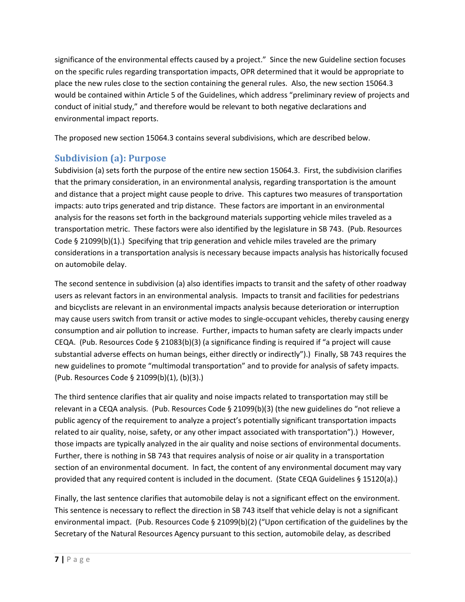significance of the environmental effects caused by a project." Since the new Guideline section focuses on the specific rules regarding transportation impacts, OPR determined that it would be appropriate to place the new rules close to the section containing the general rules. Also, the new section 15064.3 would be contained within Article 5 of the Guidelines, which address "preliminary review of projects and conduct of initial study," and therefore would be relevant to both negative declarations and environmental impact reports.

The proposed new section 15064.3 contains several subdivisions, which are described below.

# <span id="page-6-0"></span>**Subdivision (a): Purpose**

Subdivision (a) sets forth the purpose of the entire new section 15064.3. First, the subdivision clarifies that the primary consideration, in an environmental analysis, regarding transportation is the amount and distance that a project might cause people to drive. This captures two measures of transportation impacts: auto trips generated and trip distance. These factors are important in an environmental analysis for the reasons set forth in the background materials supporting vehicle miles traveled as a transportation metric. These factors were also identified by the legislature in SB 743. (Pub. Resources Code § 21099(b)(1).) Specifying that trip generation and vehicle miles traveled are the primary considerations in a transportation analysis is necessary because impacts analysis has historically focused on automobile delay.

The second sentence in subdivision (a) also identifies impacts to transit and the safety of other roadway users as relevant factors in an environmental analysis. Impacts to transit and facilities for pedestrians and bicyclists are relevant in an environmental impacts analysis because deterioration or interruption may cause users switch from transit or active modes to single-occupant vehicles, thereby causing energy consumption and air pollution to increase. Further, impacts to human safety are clearly impacts under CEQA. (Pub. Resources Code § 21083(b)(3) (a significance finding is required if "a project will cause substantial adverse effects on human beings, either directly or indirectly").) Finally, SB 743 requires the new guidelines to promote "multimodal transportation" and to provide for analysis of safety impacts. (Pub. Resources Code § 21099(b)(1), (b)(3).)

The third sentence clarifies that air quality and noise impacts related to transportation may still be relevant in a CEQA analysis. (Pub. Resources Code § 21099(b)(3) (the new guidelines do "not relieve a public agency of the requirement to analyze a project's potentially significant transportation impacts related to air quality, noise, safety, or any other impact associated with transportation").) However, those impacts are typically analyzed in the air quality and noise sections of environmental documents. Further, there is nothing in SB 743 that requires analysis of noise or air quality in a transportation section of an environmental document. In fact, the content of any environmental document may vary provided that any required content is included in the document. (State CEQA Guidelines § 15120(a).)

Finally, the last sentence clarifies that automobile delay is not a significant effect on the environment. This sentence is necessary to reflect the direction in SB 743 itself that vehicle delay is not a significant environmental impact. (Pub. Resources Code § 21099(b)(2) ("Upon certification of the guidelines by the Secretary of the Natural Resources Agency pursuant to this section, automobile delay, as described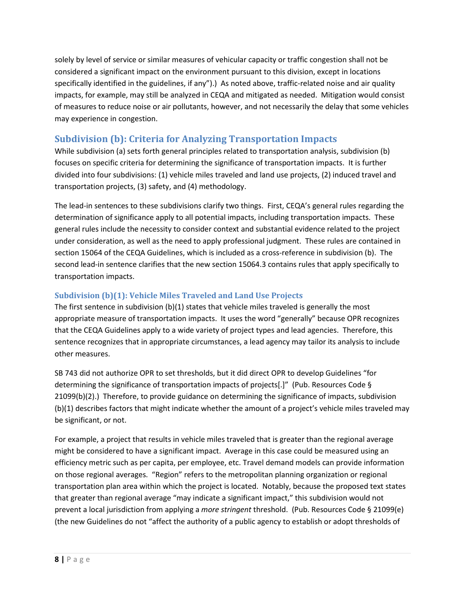solely by level of service or similar measures of vehicular capacity or traffic congestion shall not be considered a significant impact on the environment pursuant to this division, except in locations specifically identified in the guidelines, if any").) As noted above, traffic-related noise and air quality impacts, for example, may still be analyzed in CEQA and mitigated as needed. Mitigation would consist of measures to reduce noise or air pollutants, however, and not necessarily the delay that some vehicles may experience in congestion.

## <span id="page-7-0"></span>**Subdivision (b): Criteria for Analyzing Transportation Impacts**

While subdivision (a) sets forth general principles related to transportation analysis, subdivision (b) focuses on specific criteria for determining the significance of transportation impacts. It is further divided into four subdivisions: (1) vehicle miles traveled and land use projects, (2) induced travel and transportation projects, (3) safety, and (4) methodology.

The lead-in sentences to these subdivisions clarify two things. First, CEQA's general rules regarding the determination of significance apply to all potential impacts, including transportation impacts. These general rules include the necessity to consider context and substantial evidence related to the project under consideration, as well as the need to apply professional judgment. These rules are contained in section 15064 of the CEQA Guidelines, which is included as a cross-reference in subdivision (b). The second lead-in sentence clarifies that the new section 15064.3 contains rules that apply specifically to transportation impacts.

### <span id="page-7-1"></span>**Subdivision (b)(1): Vehicle Miles Traveled and Land Use Projects**

The first sentence in subdivision (b)(1) states that vehicle miles traveled is generally the most appropriate measure of transportation impacts. It uses the word "generally" because OPR recognizes that the CEQA Guidelines apply to a wide variety of project types and lead agencies. Therefore, this sentence recognizes that in appropriate circumstances, a lead agency may tailor its analysis to include other measures.

SB 743 did not authorize OPR to set thresholds, but it did direct OPR to develop Guidelines "for determining the significance of transportation impacts of projects[.]" (Pub. Resources Code § 21099(b)(2).) Therefore, to provide guidance on determining the significance of impacts, subdivision (b)(1) describes factors that might indicate whether the amount of a project's vehicle miles traveled may be significant, or not.

For example, a project that results in vehicle miles traveled that is greater than the regional average might be considered to have a significant impact. Average in this case could be measured using an efficiency metric such as per capita, per employee, etc. Travel demand models can provide information on those regional averages. "Region" refers to the metropolitan planning organization or regional transportation plan area within which the project is located. Notably, because the proposed text states that greater than regional average "may indicate a significant impact," this subdivision would not prevent a local jurisdiction from applying a *more stringent* threshold. (Pub. Resources Code § 21099(e) (the new Guidelines do not "affect the authority of a public agency to establish or adopt thresholds of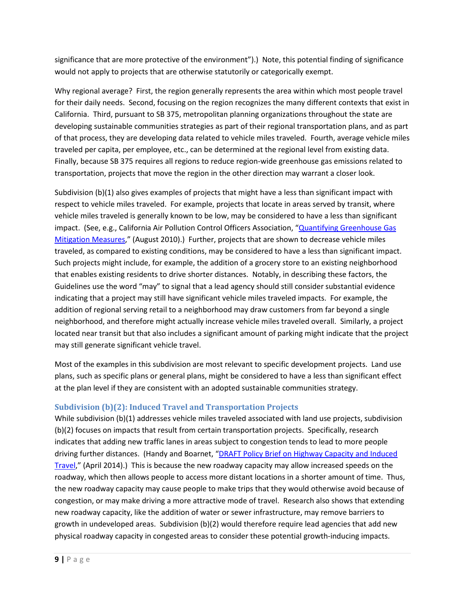significance that are more protective of the environment").) Note, this potential finding of significance would not apply to projects that are otherwise statutorily or categorically exempt.

Why regional average? First, the region generally represents the area within which most people travel for their daily needs. Second, focusing on the region recognizes the many different contexts that exist in California. Third, pursuant to SB 375, metropolitan planning organizations throughout the state are developing sustainable communities strategies as part of their regional transportation plans, and as part of that process, they are developing data related to vehicle miles traveled. Fourth, average vehicle miles traveled per capita, per employee, etc., can be determined at the regional level from existing data. Finally, because SB 375 requires all regions to reduce region-wide greenhouse gas emissions related to transportation, projects that move the region in the other direction may warrant a closer look.

Subdivision (b)(1) also gives examples of projects that might have a less than significant impact with respect to vehicle miles traveled. For example, projects that locate in areas served by transit, where vehicle miles traveled is generally known to be low, may be considered to have a less than significant impact. (See, e.g., California Air Pollution Control Officers Association, "Quantifying Greenhouse Gas [Mitigation Measures,](http://www.capcoa.org/wp-content/uploads/2010/11/CAPCOA-Quantification-Report-9-14-Final.pdf)" (August 2010).) Further, projects that are shown to decrease vehicle miles traveled, as compared to existing conditions, may be considered to have a less than significant impact. Such projects might include, for example, the addition of a grocery store to an existing neighborhood that enables existing residents to drive shorter distances. Notably, in describing these factors, the Guidelines use the word "may" to signal that a lead agency should still consider substantial evidence indicating that a project may still have significant vehicle miles traveled impacts. For example, the addition of regional serving retail to a neighborhood may draw customers from far beyond a single neighborhood, and therefore might actually increase vehicle miles traveled overall. Similarly, a project located near transit but that also includes a significant amount of parking might indicate that the project may still generate significant vehicle travel.

Most of the examples in this subdivision are most relevant to specific development projects. Land use plans, such as specific plans or general plans, might be considered to have a less than significant effect at the plan level if they are consistent with an adopted sustainable communities strategy.

### <span id="page-8-0"></span>**Subdivision (b)(2): Induced Travel and Transportation Projects**

While subdivision (b)(1) addresses vehicle miles traveled associated with land use projects, subdivision (b)(2) focuses on impacts that result from certain transportation projects. Specifically, research indicates that adding new traffic lanes in areas subject to congestion tends to lead to more people driving further distances. (Handy and Boarnet, "DRAFT Policy Brief on Highway Capacity and Induced [Travel,](http://www.arb.ca.gov/cc/sb375/policies/hwycapacity/highway_capacity_brief-4-21-14.pdf)" (April 2014).) This is because the new roadway capacity may allow increased speeds on the roadway, which then allows people to access more distant locations in a shorter amount of time. Thus, the new roadway capacity may cause people to make trips that they would otherwise avoid because of congestion, or may make driving a more attractive mode of travel. Research also shows that extending new roadway capacity, like the addition of water or sewer infrastructure, may remove barriers to growth in undeveloped areas. Subdivision (b)(2) would therefore require lead agencies that add new physical roadway capacity in congested areas to consider these potential growth-inducing impacts.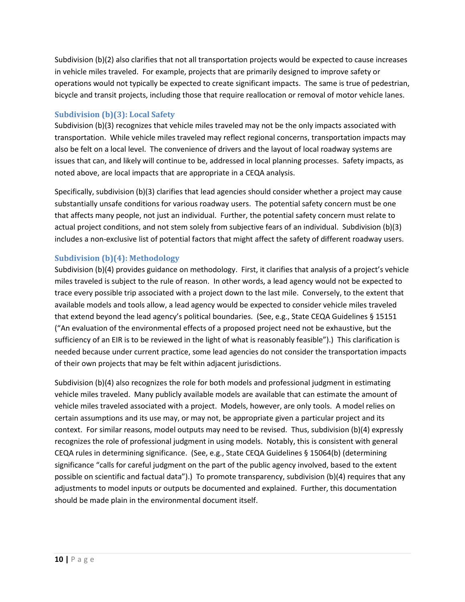Subdivision (b)(2) also clarifies that not all transportation projects would be expected to cause increases in vehicle miles traveled. For example, projects that are primarily designed to improve safety or operations would not typically be expected to create significant impacts. The same is true of pedestrian, bicycle and transit projects, including those that require reallocation or removal of motor vehicle lanes.

### <span id="page-9-0"></span>**Subdivision (b)(3): Local Safety**

Subdivision (b)(3) recognizes that vehicle miles traveled may not be the only impacts associated with transportation. While vehicle miles traveled may reflect regional concerns, transportation impacts may also be felt on a local level. The convenience of drivers and the layout of local roadway systems are issues that can, and likely will continue to be, addressed in local planning processes. Safety impacts, as noted above, are local impacts that are appropriate in a CEQA analysis.

Specifically, subdivision (b)(3) clarifies that lead agencies should consider whether a project may cause substantially unsafe conditions for various roadway users. The potential safety concern must be one that affects many people, not just an individual. Further, the potential safety concern must relate to actual project conditions, and not stem solely from subjective fears of an individual. Subdivision (b)(3) includes a non-exclusive list of potential factors that might affect the safety of different roadway users.

### <span id="page-9-1"></span>**Subdivision (b)(4): Methodology**

Subdivision (b)(4) provides guidance on methodology. First, it clarifies that analysis of a project's vehicle miles traveled is subject to the rule of reason. In other words, a lead agency would not be expected to trace every possible trip associated with a project down to the last mile. Conversely, to the extent that available models and tools allow, a lead agency would be expected to consider vehicle miles traveled that extend beyond the lead agency's political boundaries. (See, e.g., State CEQA Guidelines § 15151 ("An evaluation of the environmental effects of a proposed project need not be exhaustive, but the sufficiency of an EIR is to be reviewed in the light of what is reasonably feasible").) This clarification is needed because under current practice, some lead agencies do not consider the transportation impacts of their own projects that may be felt within adjacent jurisdictions.

Subdivision (b)(4) also recognizes the role for both models and professional judgment in estimating vehicle miles traveled. Many publicly available models are available that can estimate the amount of vehicle miles traveled associated with a project. Models, however, are only tools. A model relies on certain assumptions and its use may, or may not, be appropriate given a particular project and its context. For similar reasons, model outputs may need to be revised. Thus, subdivision (b)(4) expressly recognizes the role of professional judgment in using models. Notably, this is consistent with general CEQA rules in determining significance. (See, e.g., State CEQA Guidelines § 15064(b) (determining significance "calls for careful judgment on the part of the public agency involved, based to the extent possible on scientific and factual data").) To promote transparency, subdivision (b)(4) requires that any adjustments to model inputs or outputs be documented and explained. Further, this documentation should be made plain in the environmental document itself.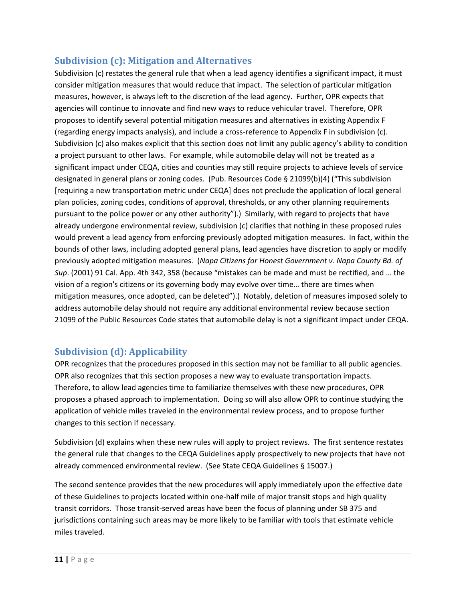### <span id="page-10-0"></span>**Subdivision (c): Mitigation and Alternatives**

Subdivision (c) restates the general rule that when a lead agency identifies a significant impact, it must consider mitigation measures that would reduce that impact. The selection of particular mitigation measures, however, is always left to the discretion of the lead agency. Further, OPR expects that agencies will continue to innovate and find new ways to reduce vehicular travel. Therefore, OPR proposes to identify several potential mitigation measures and alternatives in existing Appendix F (regarding energy impacts analysis), and include a cross-reference to Appendix F in subdivision (c). Subdivision (c) also makes explicit that this section does not limit any public agency's ability to condition a project pursuant to other laws. For example, while automobile delay will not be treated as a significant impact under CEQA, cities and counties may still require projects to achieve levels of service designated in general plans or zoning codes. (Pub. Resources Code § 21099(b)(4) ("This subdivision [requiring a new transportation metric under CEQA] does not preclude the application of local general plan policies, zoning codes, conditions of approval, thresholds, or any other planning requirements pursuant to the police power or any other authority").) Similarly, with regard to projects that have already undergone environmental review, subdivision (c) clarifies that nothing in these proposed rules would prevent a lead agency from enforcing previously adopted mitigation measures. In fact, within the bounds of other laws, including adopted general plans, lead agencies have discretion to apply or modify previously adopted mitigation measures. (*Napa Citizens for Honest Government v. Napa County Bd. of Sup*. (2001) 91 Cal. App. 4th 342, 358 (because "mistakes can be made and must be rectified, and … the vision of a region's citizens or its governing body may evolve over time… there are times when mitigation measures, once adopted, can be deleted").) Notably, deletion of measures imposed solely to address automobile delay should not require any additional environmental review because section 21099 of the Public Resources Code states that automobile delay is not a significant impact under CEQA.

## <span id="page-10-1"></span>**Subdivision (d): Applicability**

OPR recognizes that the procedures proposed in this section may not be familiar to all public agencies. OPR also recognizes that this section proposes a new way to evaluate transportation impacts. Therefore, to allow lead agencies time to familiarize themselves with these new procedures, OPR proposes a phased approach to implementation. Doing so will also allow OPR to continue studying the application of vehicle miles traveled in the environmental review process, and to propose further changes to this section if necessary.

Subdivision (d) explains when these new rules will apply to project reviews. The first sentence restates the general rule that changes to the CEQA Guidelines apply prospectively to new projects that have not already commenced environmental review. (See State CEQA Guidelines § 15007.)

The second sentence provides that the new procedures will apply immediately upon the effective date of these Guidelines to projects located within one-half mile of major transit stops and high quality transit corridors. Those transit-served areas have been the focus of planning under SB 375 and jurisdictions containing such areas may be more likely to be familiar with tools that estimate vehicle miles traveled.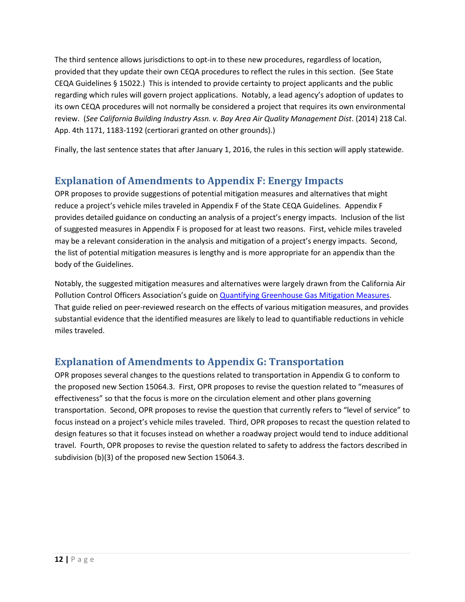The third sentence allows jurisdictions to opt-in to these new procedures, regardless of location, provided that they update their own CEQA procedures to reflect the rules in this section. (See State CEQA Guidelines § 15022.) This is intended to provide certainty to project applicants and the public regarding which rules will govern project applications. Notably, a lead agency's adoption of updates to its own CEQA procedures will not normally be considered a project that requires its own environmental review. (*See California Building Industry Assn. v. Bay Area Air Quality Management Dist*. (2014) 218 Cal. App. 4th 1171, 1183-1192 (certiorari granted on other grounds).)

Finally, the last sentence states that after January 1, 2016, the rules in this section will apply statewide.

# <span id="page-11-0"></span>**Explanation of Amendments to Appendix F: Energy Impacts**

OPR proposes to provide suggestions of potential mitigation measures and alternatives that might reduce a project's vehicle miles traveled in Appendix F of the State CEQA Guidelines. Appendix F provides detailed guidance on conducting an analysis of a project's energy impacts. Inclusion of the list of suggested measures in Appendix F is proposed for at least two reasons. First, vehicle miles traveled may be a relevant consideration in the analysis and mitigation of a project's energy impacts. Second, the list of potential mitigation measures is lengthy and is more appropriate for an appendix than the body of the Guidelines.

Notably, the suggested mitigation measures and alternatives were largely drawn from the California Air Pollution Control Officers Association's guide o[n Quantifying Greenhouse Gas Mitigation Measures.](http://www.capcoa.org/wp-content/uploads/2010/11/CAPCOA-Quantification-Report-9-14-Final.pdf) That guide relied on peer-reviewed research on the effects of various mitigation measures, and provides substantial evidence that the identified measures are likely to lead to quantifiable reductions in vehicle miles traveled.

# <span id="page-11-1"></span>**Explanation of Amendments to Appendix G: Transportation**

<span id="page-11-2"></span>OPR proposes several changes to the questions related to transportation in Appendix G to conform to the proposed new Section 15064.3. First, OPR proposes to revise the question related to "measures of effectiveness" so that the focus is more on the circulation element and other plans governing transportation. Second, OPR proposes to revise the question that currently refers to "level of service" to focus instead on a project's vehicle miles traveled. Third, OPR proposes to recast the question related to design features so that it focuses instead on whether a roadway project would tend to induce additional travel. Fourth, OPR proposes to revise the question related to safety to address the factors described in subdivision (b)(3) of the proposed new Section 15064.3.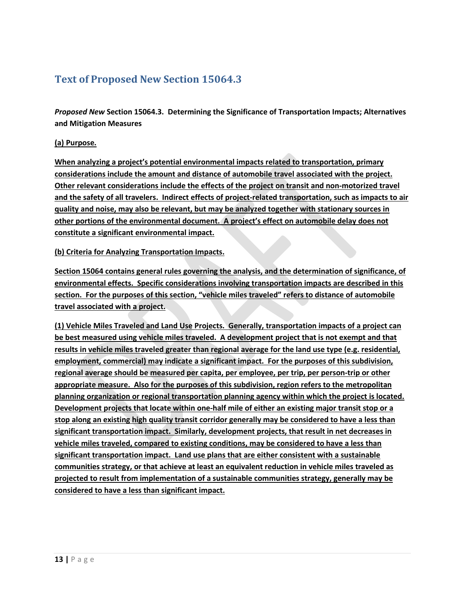# **Text of Proposed New Section 15064.3**

*Proposed New* **Section 15064.3. Determining the Significance of Transportation Impacts; Alternatives and Mitigation Measures**

### **(a) Purpose.**

**When analyzing a project's potential environmental impacts related to transportation, primary considerations include the amount and distance of automobile travel associated with the project. Other relevant considerations include the effects of the project on transit and non-motorized travel and the safety of all travelers. Indirect effects of project-related transportation, such as impacts to air quality and noise, may also be relevant, but may be analyzed together with stationary sources in other portions of the environmental document. A project's effect on automobile delay does not constitute a significant environmental impact.** 

### **(b) Criteria for Analyzing Transportation Impacts.**

**Section 15064 contains general rules governing the analysis, and the determination of significance, of environmental effects. Specific considerations involving transportation impacts are described in this section. For the purposes of this section, "vehicle miles traveled" refers to distance of automobile travel associated with a project.**

**(1) Vehicle Miles Traveled and Land Use Projects. Generally, transportation impacts of a project can be best measured using vehicle miles traveled. A development project that is not exempt and that results in vehicle miles traveled greater than regional average for the land use type (e.g. residential, employment, commercial) may indicate a significant impact. For the purposes of this subdivision, regional average should be measured per capita, per employee, per trip, per person-trip or other appropriate measure. Also for the purposes of this subdivision, region refers to the metropolitan planning organization or regional transportation planning agency within which the project is located. Development projects that locate within one-half mile of either an existing major transit stop or a stop along an existing high quality transit corridor generally may be considered to have a less than significant transportation impact. Similarly, development projects, that result in net decreases in vehicle miles traveled, compared to existing conditions, may be considered to have a less than significant transportation impact. Land use plans that are either consistent with a sustainable communities strategy, or that achieve at least an equivalent reduction in vehicle miles traveled as projected to result from implementation of a sustainable communities strategy, generally may be considered to have a less than significant impact.**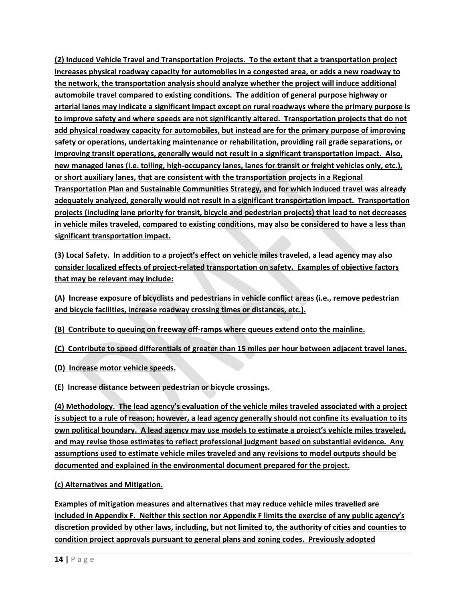**(2) Induced Vehicle Travel and Transportation Projects. To the extent that a transportation project increases physical roadway capacity for automobiles in a congested area, or adds a new roadway to the network, the transportation analysis should analyze whether the project will induce additional automobile travel compared to existing conditions. The addition of general purpose highway or arterial lanes may indicate a significant impact except on rural roadways where the primary purpose is to improve safety and where speeds are not significantly altered. Transportation projects that do not add physical roadway capacity for automobiles, but instead are for the primary purpose of improving safety or operations, undertaking maintenance or rehabilitation, providing rail grade separations, or improving transit operations, generally would not result in a significant transportation impact. Also, new managed lanes (i.e. tolling, high-occupancy lanes, lanes for transit or freight vehicles only, etc.), or short auxiliary lanes, that are consistent with the transportation projects in a Regional Transportation Plan and Sustainable Communities Strategy, and for which induced travel was already adequately analyzed, generally would not result in a significant transportation impact. Transportation projects (including lane priority for transit, bicycle and pedestrian projects) that lead to net decreases in vehicle miles traveled, compared to existing conditions, may also be considered to have a less than significant transportation impact.** 

**(3) Local Safety. In addition to a project's effect on vehicle miles traveled, a lead agency may also consider localized effects of project-related transportation on safety. Examples of objective factors that may be relevant may include:**

**(A) Increase exposure of bicyclists and pedestrians in vehicle conflict areas (i.e., remove pedestrian and bicycle facilities, increase roadway crossing times or distances, etc.).**

**(B) Contribute to queuing on freeway off-ramps where queues extend onto the mainline.**

**(C) Contribute to speed differentials of greater than 15 miles per hour between adjacent travel lanes.**

**(D) Increase motor vehicle speeds.**

**(E) Increase distance between pedestrian or bicycle crossings.** 

**(4) Methodology. The lead agency's evaluation of the vehicle miles traveled associated with a project is subject to a rule of reason; however, a lead agency generally should not confine its evaluation to its own political boundary. A lead agency may use models to estimate a project's vehicle miles traveled, and may revise those estimates to reflect professional judgment based on substantial evidence. Any assumptions used to estimate vehicle miles traveled and any revisions to model outputs should be documented and explained in the environmental document prepared for the project.**

**(c) Alternatives and Mitigation.**

**Examples of mitigation measures and alternatives that may reduce vehicle miles travelled are included in Appendix F. Neither this section nor Appendix F limits the exercise of any public agency's discretion provided by other laws, including, but not limited to, the authority of cities and counties to condition project approvals pursuant to general plans and zoning codes. Previously adopted**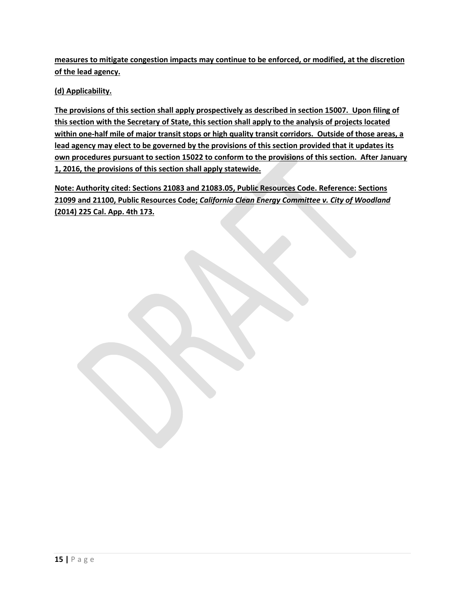**measures to mitigate congestion impacts may continue to be enforced, or modified, at the discretion of the lead agency.**

**(d) Applicability.** 

**The provisions of this section shall apply prospectively as described in section 15007. Upon filing of this section with the Secretary of State, this section shall apply to the analysis of projects located within one-half mile of major transit stops or high quality transit corridors. Outside of those areas, a lead agency may elect to be governed by the provisions of this section provided that it updates its own procedures pursuant to section 15022 to conform to the provisions of this section. After January 1, 2016, the provisions of this section shall apply statewide.**

**Note: Authority cited: Sections 21083 and 21083.05, Public Resources Code. Reference: Sections 21099 and 21100, Public Resources Code;** *California Clean Energy Committee v. City of Woodland* **(2014) 225 Cal. App. 4th 173.**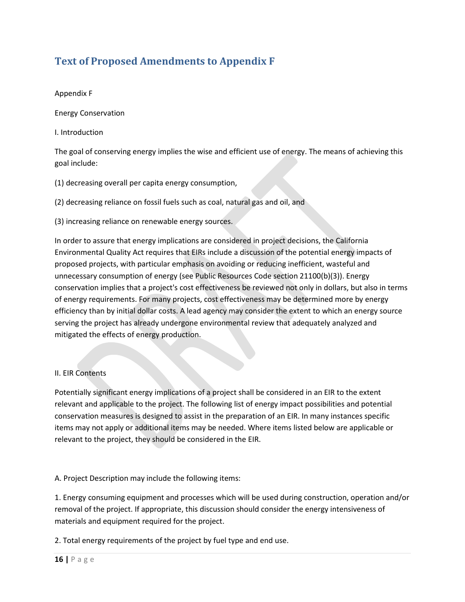# <span id="page-15-0"></span>**Text of Proposed Amendments to Appendix F**

### Appendix F

Energy Conservation

I. Introduction

The goal of conserving energy implies the wise and efficient use of energy. The means of achieving this goal include:

(1) decreasing overall per capita energy consumption,

(2) decreasing reliance on fossil fuels such as coal, natural gas and oil, and

(3) increasing reliance on renewable energy sources.

In order to assure that energy implications are considered in project decisions, the California Environmental Quality Act requires that EIRs include a discussion of the potential energy impacts of proposed projects, with particular emphasis on avoiding or reducing inefficient, wasteful and unnecessary consumption of energy (see Public Resources Code section 21100(b)(3)). Energy conservation implies that a project's cost effectiveness be reviewed not only in dollars, but also in terms of energy requirements. For many projects, cost effectiveness may be determined more by energy efficiency than by initial dollar costs. A lead agency may consider the extent to which an energy source serving the project has already undergone environmental review that adequately analyzed and mitigated the effects of energy production.

### II. EIR Contents

Potentially significant energy implications of a project shall be considered in an EIR to the extent relevant and applicable to the project. The following list of energy impact possibilities and potential conservation measures is designed to assist in the preparation of an EIR. In many instances specific items may not apply or additional items may be needed. Where items listed below are applicable or relevant to the project, they should be considered in the EIR.

A. Project Description may include the following items:

1. Energy consuming equipment and processes which will be used during construction, operation and/or removal of the project. If appropriate, this discussion should consider the energy intensiveness of materials and equipment required for the project.

2. Total energy requirements of the project by fuel type and end use.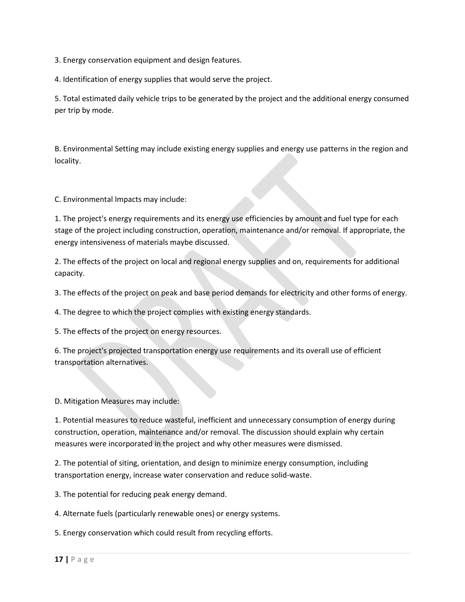3. Energy conservation equipment and design features.

4. Identification of energy supplies that would serve the project.

5. Total estimated daily vehicle trips to be generated by the project and the additional energy consumed per trip by mode.

B. Environmental Setting may include existing energy supplies and energy use patterns in the region and locality.

C. Environmental Impacts may include:

1. The project's energy requirements and its energy use efficiencies by amount and fuel type for each stage of the project including construction, operation, maintenance and/or removal. If appropriate, the energy intensiveness of materials maybe discussed.

2. The effects of the project on local and regional energy supplies and on, requirements for additional capacity.

3. The effects of the project on peak and base period demands for electricity and other forms of energy.

4. The degree to which the project complies with existing energy standards.

5. The effects of the project on energy resources.

6. The project's projected transportation energy use requirements and its overall use of efficient transportation alternatives.

D. Mitigation Measures may include:

1. Potential measures to reduce wasteful, inefficient and unnecessary consumption of energy during construction, operation, maintenance and/or removal. The discussion should explain why certain measures were incorporated in the project and why other measures were dismissed.

2. The potential of siting, orientation, and design to minimize energy consumption, including transportation energy, increase water conservation and reduce solid-waste.

3. The potential for reducing peak energy demand.

4. Alternate fuels (particularly renewable ones) or energy systems.

5. Energy conservation which could result from recycling efforts.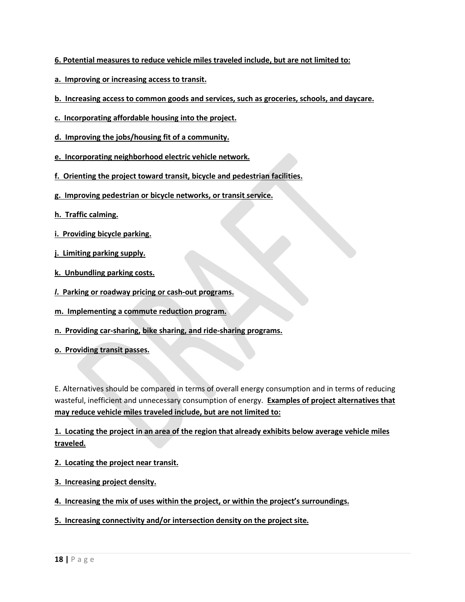- **6. Potential measures to reduce vehicle miles traveled include, but are not limited to:**
- **a. Improving or increasing access to transit.**
- **b. Increasing access to common goods and services, such as groceries, schools, and daycare.**
- **c. Incorporating affordable housing into the project.**
- **d. Improving the jobs/housing fit of a community.**
- **e. Incorporating neighborhood electric vehicle network.**
- **f. Orienting the project toward transit, bicycle and pedestrian facilities.**
- **g. Improving pedestrian or bicycle networks, or transit service.**
- **h. Traffic calming.**
- **i. Providing bicycle parking.**
- **j. Limiting parking supply.**
- **k. Unbundling parking costs.**
- *l***. Parking or roadway pricing or cash-out programs.**
- **m. Implementing a commute reduction program.**
- **n. Providing car-sharing, bike sharing, and ride-sharing programs.**
- **o. Providing transit passes.**

E. Alternatives should be compared in terms of overall energy consumption and in terms of reducing wasteful, inefficient and unnecessary consumption of energy. **Examples of project alternatives that may reduce vehicle miles traveled include, but are not limited to:**

**1. Locating the project in an area of the region that already exhibits below average vehicle miles traveled.**

- **2. Locating the project near transit.**
- **3. Increasing project density.**
- **4. Increasing the mix of uses within the project, or within the project's surroundings.**
- **5. Increasing connectivity and/or intersection density on the project site.**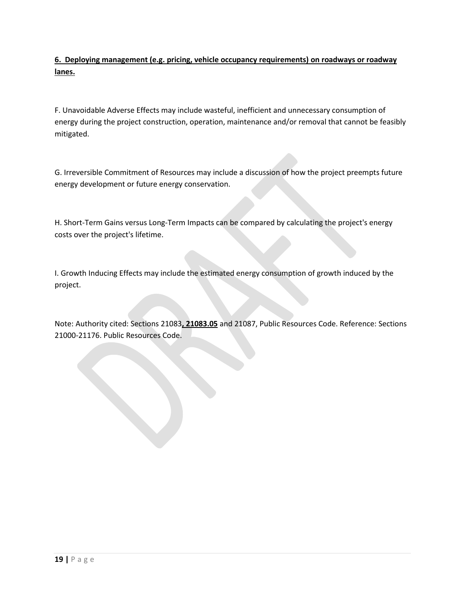**6. Deploying management (e.g. pricing, vehicle occupancy requirements) on roadways or roadway lanes.**

F. Unavoidable Adverse Effects may include wasteful, inefficient and unnecessary consumption of energy during the project construction, operation, maintenance and/or removal that cannot be feasibly mitigated.

G. Irreversible Commitment of Resources may include a discussion of how the project preempts future energy development or future energy conservation.

H. Short-Term Gains versus Long-Term Impacts can be compared by calculating the project's energy costs over the project's lifetime.

I. Growth Inducing Effects may include the estimated energy consumption of growth induced by the project.

Note: Authority cited: Sections 21083**, 21083.05** and 21087, Public Resources Code. Reference: Sections 21000-21176. Public Resources Code.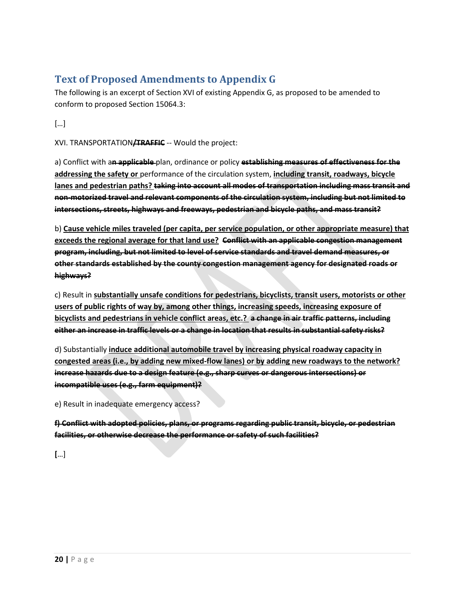# **Text of Proposed Amendments to Appendix G**

The following is an excerpt of Section XVI of existing Appendix G, as proposed to be amended to conform to proposed Section 15064.3:

[…]

XVI. TRANSPORTATION**/TRAFFIC** -- Would the project:

a) Conflict with a**n applicable** plan, ordinance or policy **establishing measures of effectiveness for the addressing the safety or** performance of the circulation system, **including transit, roadways, bicycle lanes and pedestrian paths? taking into account all modes of transportation including mass transit and non-motorized travel and relevant components of the circulation system, including but not limited to intersections, streets, highways and freeways, pedestrian and bicycle paths, and mass transit?**

b) **Cause vehicle miles traveled (per capita, per service population, or other appropriate measure) that exceeds the regional average for that land use? Conflict with an applicable congestion management program, including, but not limited to level of service standards and travel demand measures, or other standards established by the county congestion management agency for designated roads or highways?**

c) Result in **substantially unsafe conditions for pedestrians, bicyclists, transit users, motorists or other users of public rights of way by, among other things, increasing speeds, increasing exposure of bicyclists and pedestrians in vehicle conflict areas, etc.? a change in air traffic patterns, including either an increase in traffic levels or a change in location that results in substantial safety risks?**

d) Substantially **induce additional automobile travel by increasing physical roadway capacity in congested areas (i.e., by adding new mixed-flow lanes) or by adding new roadways to the network? increase hazards due to a design feature (e.g., sharp curves or dangerous intersections) or incompatible uses (e.g., farm equipment)?**

e) Result in inadequate emergency access?

**f) Conflict with adopted policies, plans, or programs regarding public transit, bicycle, or pedestrian facilities, or otherwise decrease the performance or safety of such facilities?**

**[**…]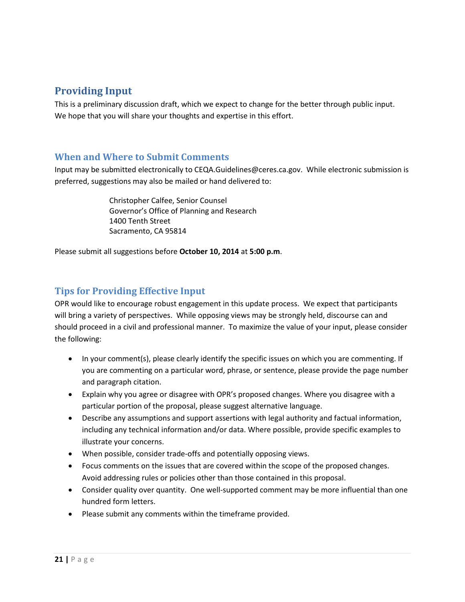# <span id="page-20-0"></span>**Providing Input**

This is a preliminary discussion draft, which we expect to change for the better through public input. We hope that you will share your thoughts and expertise in this effort.

### <span id="page-20-1"></span>**When and Where to Submit Comments**

Input may be submitted electronically to CEQA.Guidelines@ceres.ca.gov. While electronic submission is preferred, suggestions may also be mailed or hand delivered to:

> Christopher Calfee, Senior Counsel Governor's Office of Planning and Research 1400 Tenth Street Sacramento, CA 95814

Please submit all suggestions before **October 10, 2014** at **5:00 p.m**.

### <span id="page-20-2"></span>**Tips for Providing Effective Input**

OPR would like to encourage robust engagement in this update process. We expect that participants will bring a variety of perspectives. While opposing views may be strongly held, discourse can and should proceed in a civil and professional manner. To maximize the value of your input, please consider the following:

- In your comment(s), please clearly identify the specific issues on which you are commenting. If you are commenting on a particular word, phrase, or sentence, please provide the page number and paragraph citation.
- Explain why you agree or disagree with OPR's proposed changes. Where you disagree with a particular portion of the proposal, please suggest alternative language.
- Describe any assumptions and support assertions with legal authority and factual information, including any technical information and/or data. Where possible, provide specific examples to illustrate your concerns.
- When possible, consider trade-offs and potentially opposing views.
- Focus comments on the issues that are covered within the scope of the proposed changes. Avoid addressing rules or policies other than those contained in this proposal.
- Consider quality over quantity. One well-supported comment may be more influential than one hundred form letters.
- Please submit any comments within the timeframe provided.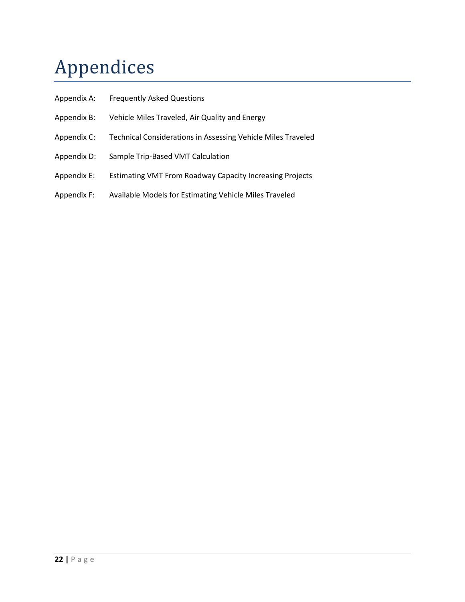# <span id="page-21-0"></span>Appendices

- Appendix A: Frequently Asked Questions
- Appendix B: Vehicle Miles Traveled, Air Quality and Energy
- Appendix C: Technical Considerations in Assessing Vehicle Miles Traveled
- Appendix D: Sample Trip-Based VMT Calculation
- Appendix E: Estimating VMT From Roadway Capacity Increasing Projects
- Appendix F: Available Models for Estimating Vehicle Miles Traveled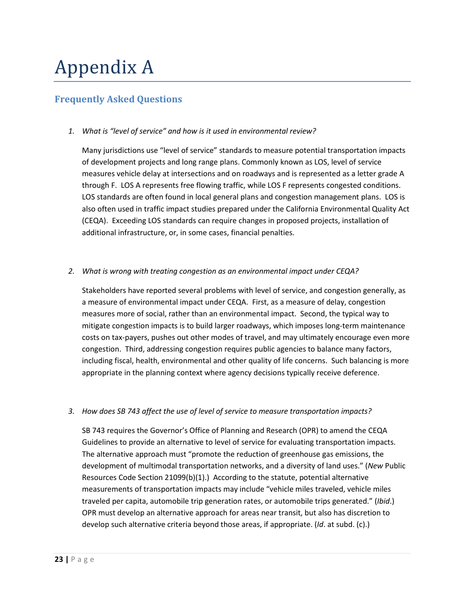# Appendix A

### **Frequently Asked Questions**

### *1. What is "level of service" and how is it used in environmental review?*

Many jurisdictions use "level of service" standards to measure potential transportation impacts of development projects and long range plans. Commonly known as LOS, level of service measures vehicle delay at intersections and on roadways and is represented as a letter grade A through F. LOS A represents free flowing traffic, while LOS F represents congested conditions. LOS standards are often found in local general plans and congestion management plans. LOS is also often used in traffic impact studies prepared under the California Environmental Quality Act (CEQA). Exceeding LOS standards can require changes in proposed projects, installation of additional infrastructure, or, in some cases, financial penalties.

### *2. What is wrong with treating congestion as an environmental impact under CEQA?*

Stakeholders have reported several problems with level of service, and congestion generally, as a measure of environmental impact under CEQA. First, as a measure of delay, congestion measures more of social, rather than an environmental impact. Second, the typical way to mitigate congestion impacts is to build larger roadways, which imposes long-term maintenance costs on tax-payers, pushes out other modes of travel, and may ultimately encourage even more congestion. Third, addressing congestion requires public agencies to balance many factors, including fiscal, health, environmental and other quality of life concerns. Such balancing is more appropriate in the planning context where agency decisions typically receive deference.

#### *3. How does SB 743 affect the use of level of service to measure transportation impacts?*

SB 743 requires the Governor's Office of Planning and Research (OPR) to amend the CEQA Guidelines to provide an alternative to level of service for evaluating transportation impacts. The alternative approach must "promote the reduction of greenhouse gas emissions, the development of multimodal transportation networks, and a diversity of land uses." (*New* Public Resources Code Section 21099(b)(1).) According to the statute, potential alternative measurements of transportation impacts may include "vehicle miles traveled, vehicle miles traveled per capita, automobile trip generation rates, or automobile trips generated." (*Ibid*.) OPR must develop an alternative approach for areas near transit, but also has discretion to develop such alternative criteria beyond those areas, if appropriate. (*Id*. at subd. (c).)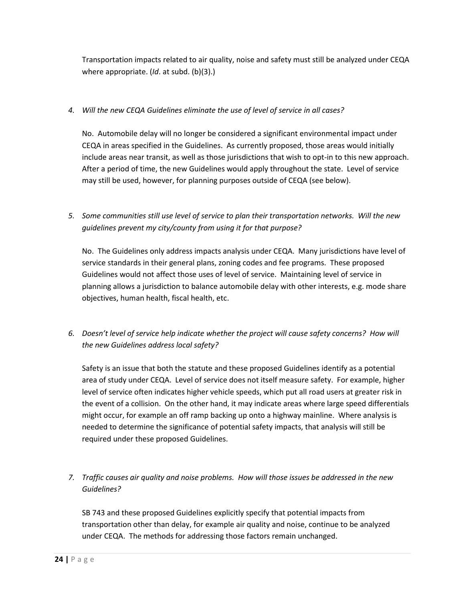Transportation impacts related to air quality, noise and safety must still be analyzed under CEQA where appropriate. (*Id*. at subd. (b)(3).)

### *4. Will the new CEQA Guidelines eliminate the use of level of service in all cases?*

No. Automobile delay will no longer be considered a significant environmental impact under CEQA in areas specified in the Guidelines. As currently proposed, those areas would initially include areas near transit, as well as those jurisdictions that wish to opt-in to this new approach. After a period of time, the new Guidelines would apply throughout the state. Level of service may still be used, however, for planning purposes outside of CEQA (see below).

*5. Some communities still use level of service to plan their transportation networks. Will the new guidelines prevent my city/county from using it for that purpose?*

No. The Guidelines only address impacts analysis under CEQA. Many jurisdictions have level of service standards in their general plans, zoning codes and fee programs. These proposed Guidelines would not affect those uses of level of service. Maintaining level of service in planning allows a jurisdiction to balance automobile delay with other interests, e.g. mode share objectives, human health, fiscal health, etc.

*6. Doesn't level of service help indicate whether the project will cause safety concerns? How will the new Guidelines address local safety?*

Safety is an issue that both the statute and these proposed Guidelines identify as a potential area of study under CEQA. Level of service does not itself measure safety. For example, higher level of service often indicates higher vehicle speeds, which put all road users at greater risk in the event of a collision. On the other hand, it may indicate areas where large speed differentials might occur, for example an off ramp backing up onto a highway mainline. Where analysis is needed to determine the significance of potential safety impacts, that analysis will still be required under these proposed Guidelines.

### *7. Traffic causes air quality and noise problems. How will those issues be addressed in the new Guidelines?*

SB 743 and these proposed Guidelines explicitly specify that potential impacts from transportation other than delay, for example air quality and noise, continue to be analyzed under CEQA. The methods for addressing those factors remain unchanged.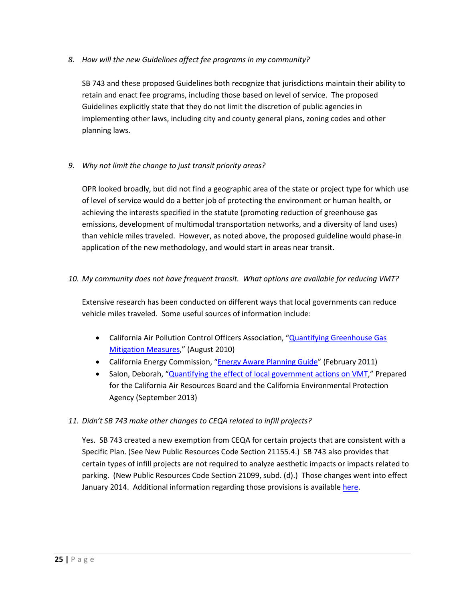*8. How will the new Guidelines affect fee programs in my community?*

SB 743 and these proposed Guidelines both recognize that jurisdictions maintain their ability to retain and enact fee programs, including those based on level of service. The proposed Guidelines explicitly state that they do not limit the discretion of public agencies in implementing other laws, including city and county general plans, zoning codes and other planning laws.

### *9. Why not limit the change to just transit priority areas?*

OPR looked broadly, but did not find a geographic area of the state or project type for which use of level of service would do a better job of protecting the environment or human health, or achieving the interests specified in the statute (promoting reduction of greenhouse gas emissions, development of multimodal transportation networks, and a diversity of land uses) than vehicle miles traveled. However, as noted above, the proposed guideline would phase-in application of the new methodology, and would start in areas near transit.

### *10. My community does not have frequent transit. What options are available for reducing VMT?*

Extensive research has been conducted on different ways that local governments can reduce vehicle miles traveled. Some useful sources of information include:

- California Air Pollution Control Officers Association, ["Quantifying Greenhouse Gas](http://www.capcoa.org/wp-content/uploads/2010/11/CAPCOA-Quantification-Report-9-14-Final.pdf)  [Mitigation Measures,](http://www.capcoa.org/wp-content/uploads/2010/11/CAPCOA-Quantification-Report-9-14-Final.pdf)" (August 2010)
- California Energy Commission, ["Energy Aware Planning Guide"](http://www.energy.ca.gov/2009publications/CEC-600-2009-013/CEC-600-2009-013.PDF) (February 2011)
- Salon, Deborah, ["Quantifying the effect of local government actions on VMT,](http://www.arb.ca.gov/research/rsc/10-18-13/item3dfr09-343.pdf)" Prepared for the California Air Resources Board and the California Environmental Protection Agency (September 2013)

### *11. Didn't SB 743 make other changes to CEQA related to infill projects?*

Yes. SB 743 created a new exemption from CEQA for certain projects that are consistent with a Specific Plan. (See New Public Resources Code Section 21155.4.) SB 743 also provides that certain types of infill projects are not required to analyze aesthetic impacts or impacts related to parking. (New Public Resources Code Section 21099, subd. (d).) Those changes went into effect January 2014. Additional information regarding those provisions is available [here.](http://opr.ca.gov/s_transitorienteddevelopmentsb743.php)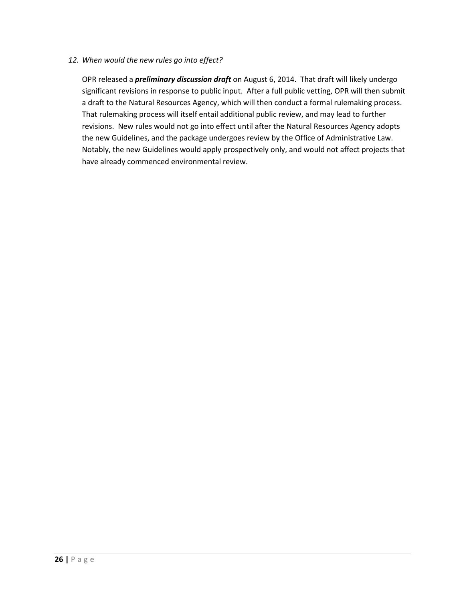### *12. When would the new rules go into effect?*

OPR released a *preliminary discussion draft* on August 6, 2014. That draft will likely undergo significant revisions in response to public input. After a full public vetting, OPR will then submit a draft to the Natural Resources Agency, which will then conduct a formal rulemaking process. That rulemaking process will itself entail additional public review, and may lead to further revisions. New rules would not go into effect until after the Natural Resources Agency adopts the new Guidelines, and the package undergoes review by the Office of Administrative Law. Notably, the new Guidelines would apply prospectively only, and would not affect projects that have already commenced environmental review.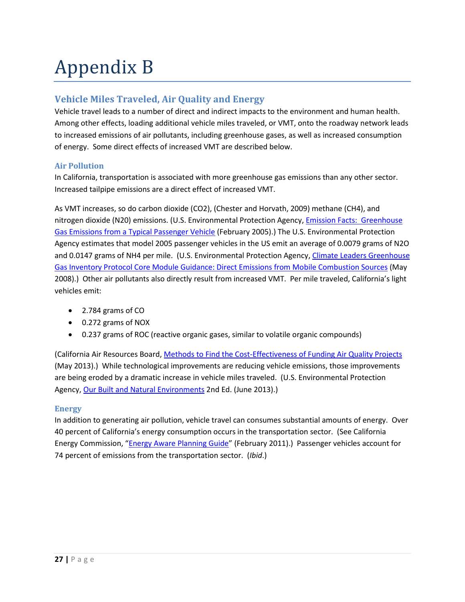# Appendix B

### **Vehicle Miles Traveled, Air Quality and Energy**

Vehicle travel leads to a number of direct and indirect impacts to the environment and human health. Among other effects, loading additional vehicle miles traveled, or VMT, onto the roadway network leads to increased emissions of air pollutants, including greenhouse gases, as well as increased consumption of energy. Some direct effects of increased VMT are described below.

### **Air Pollution**

In California, transportation is associated with more greenhouse gas emissions than any other sector. Increased tailpipe emissions are a direct effect of increased VMT.

As VMT increases, so do carbon dioxide (CO2), (Chester and Horvath, 2009) methane (CH4), and nitrogen dioxide (N20) emissions. (U.S. Environmental Protection Agency, *Emission Facts: Greenhouse* [Gas Emissions from a Typical Passenger Vehicle](http://yosemite.epa.gov/oa/eab_web_docket.nsf/filings%20by%20appeal%20number/d67dd10def159ee28525771a0060f621/$file/exhibit%2034%20epa%20ghg%20emissions%20fact%20sheet...3.18.pdf) (February 2005).) The U.S. Environmental Protection Agency estimates that model 2005 passenger vehicles in the US emit an average of 0.0079 grams of N2O and 0.0147 grams of NH4 per mile. (U.S. Environmental Protection Agency, [Climate Leaders Greenhouse](http://www.epa.gov/climateleadership/documents/resources/mobilesource_guidance.pdf)  [Gas Inventory Protocol Core Module Guidance: Direct Emissions from Mobile Combustion Sources](http://www.epa.gov/climateleadership/documents/resources/mobilesource_guidance.pdf) (May 2008).) Other air pollutants also directly result from increased VMT. Per mile traveled, California's light vehicles emit:

- 2.784 grams of CO
- 0.272 grams of NOX
- 0.237 grams of ROC (reactive organic gases, similar to volatile organic compounds)

(California Air Resources Board, [Methods to Find the Cost-Effectiveness of Funding Air Quality Projects](http://www.arb.ca.gov/planning/tsaq/eval/evaltables.pdf) (May 2013).) While technological improvements are reducing vehicle emissions, those improvements are being eroded by a dramatic increase in vehicle miles traveled. (U.S. Environmental Protection Agency[, Our Built and Natural Environments](http://www.epa.gov/dced/pdf/b-and-n/b-and-n-EPA-231K13001.pdf) 2nd Ed. (June 2013).)

### **Energy**

In addition to generating air pollution, vehicle travel can consumes substantial amounts of energy. Over 40 percent of California's energy consumption occurs in the transportation sector. (See California Energy Commission, ["Energy Aware Planning Guide"](http://www.energy.ca.gov/2009publications/CEC-600-2009-013/CEC-600-2009-013.PDF) (February 2011).) Passenger vehicles account for 74 percent of emissions from the transportation sector. (*Ibid*.)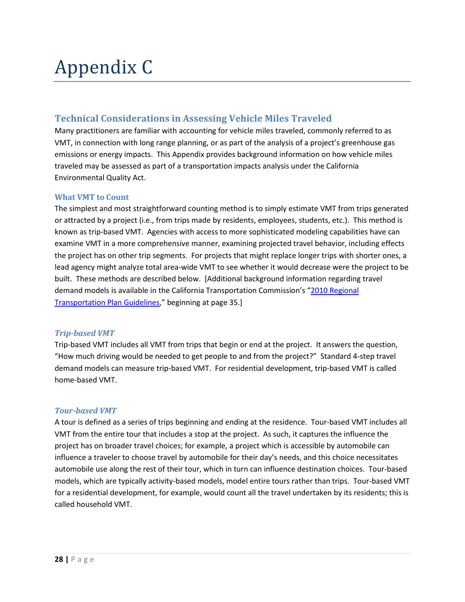# Appendix C

### **Technical Considerations in Assessing Vehicle Miles Traveled**

Many practitioners are familiar with accounting for vehicle miles traveled, commonly referred to as VMT, in connection with long range planning, or as part of the analysis of a project's greenhouse gas emissions or energy impacts. This Appendix provides background information on how vehicle miles traveled may be assessed as part of a transportation impacts analysis under the California Environmental Quality Act.

### **What VMT to Count**

The simplest and most straightforward counting method is to simply estimate VMT from trips generated or attracted by a project (i.e., from trips made by residents, employees, students, etc.). This method is known as trip-based VMT. Agencies with access to more sophisticated modeling capabilities have can examine VMT in a more comprehensive manner, examining projected travel behavior, including effects the project has on other trip segments. For projects that might replace longer trips with shorter ones, a lead agency might analyze total area-wide VMT to see whether it would decrease were the project to be built. These methods are described below. [Additional background information regarding travel demand models is available in the California Transportation Commission's ["2010 Regional](http://www.dot.ca.gov/hq/tpp/offices/orip/rtp/index_files/2010%20RTPGuidelines_Jan2011_Technical_Change.pdf)  [Transportation Plan Guidelines,](http://www.dot.ca.gov/hq/tpp/offices/orip/rtp/index_files/2010%20RTPGuidelines_Jan2011_Technical_Change.pdf)" beginning at page 35.]

#### *Trip-based VMT*

Trip-based VMT includes all VMT from trips that begin or end at the project. It answers the question, "How much driving would be needed to get people to and from the project?" Standard 4-step travel demand models can measure trip-based VMT. For residential development, trip-based VMT is called home-based VMT.

#### *Tour-based VMT*

A tour is defined as a series of trips beginning and ending at the residence. Tour-based VMT includes all VMT from the entire tour that includes a stop at the project. As such, it captures the influence the project has on broader travel choices; for example, a project which is accessible by automobile can influence a traveler to choose travel by automobile for their day's needs, and this choice necessitates automobile use along the rest of their tour, which in turn can influence destination choices. Tour-based models, which are typically activity-based models, model entire tours rather than trips. Tour-based VMT for a residential development, for example, would count all the travel undertaken by its residents; this is called household VMT.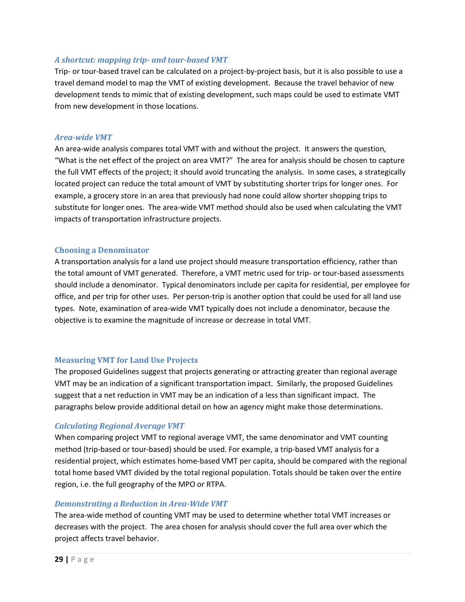### *A shortcut: mapping trip- and tour-based VMT*

Trip- or tour-based travel can be calculated on a project-by-project basis, but it is also possible to use a travel demand model to map the VMT of existing development. Because the travel behavior of new development tends to mimic that of existing development, such maps could be used to estimate VMT from new development in those locations.

#### *Area-wide VMT*

An area-wide analysis compares total VMT with and without the project. It answers the question, "What is the net effect of the project on area VMT?" The area for analysis should be chosen to capture the full VMT effects of the project; it should avoid truncating the analysis. In some cases, a strategically located project can reduce the total amount of VMT by substituting shorter trips for longer ones. For example, a grocery store in an area that previously had none could allow shorter shopping trips to substitute for longer ones. The area-wide VMT method should also be used when calculating the VMT impacts of transportation infrastructure projects.

#### **Choosing a Denominator**

A transportation analysis for a land use project should measure transportation efficiency, rather than the total amount of VMT generated. Therefore, a VMT metric used for trip- or tour-based assessments should include a denominator. Typical denominators include per capita for residential, per employee for office, and per trip for other uses. Per person-trip is another option that could be used for all land use types. Note, examination of area-wide VMT typically does not include a denominator, because the objective is to examine the magnitude of increase or decrease in total VMT.

### **Measuring VMT for Land Use Projects**

The proposed Guidelines suggest that projects generating or attracting greater than regional average VMT may be an indication of a significant transportation impact. Similarly, the proposed Guidelines suggest that a net reduction in VMT may be an indication of a less than significant impact. The paragraphs below provide additional detail on how an agency might make those determinations.

### *Calculating Regional Average VMT*

When comparing project VMT to regional average VMT, the same denominator and VMT counting method (trip-based or tour-based) should be used. For example, a trip-based VMT analysis for a residential project, which estimates home-based VMT per capita, should be compared with the regional total home based VMT divided by the total regional population. Totals should be taken over the entire region, i.e. the full geography of the MPO or RTPA.

#### *Demonstrating a Reduction in Area-Wide VMT*

The area-wide method of counting VMT may be used to determine whether total VMT increases or decreases with the project. The area chosen for analysis should cover the full area over which the project affects travel behavior.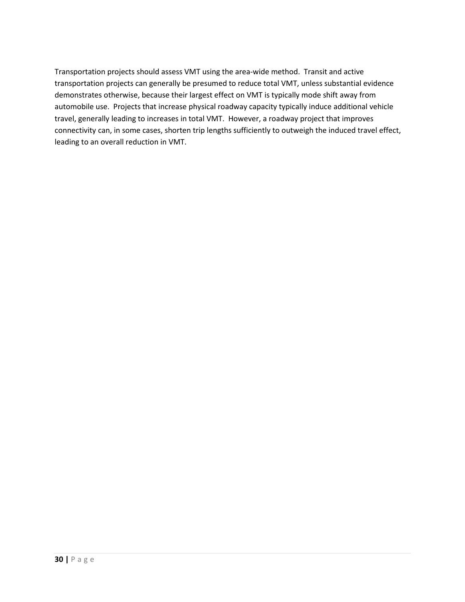Transportation projects should assess VMT using the area-wide method. Transit and active transportation projects can generally be presumed to reduce total VMT, unless substantial evidence demonstrates otherwise, because their largest effect on VMT is typically mode shift away from automobile use. Projects that increase physical roadway capacity typically induce additional vehicle travel, generally leading to increases in total VMT. However, a roadway project that improves connectivity can, in some cases, shorten trip lengths sufficiently to outweigh the induced travel effect, leading to an overall reduction in VMT.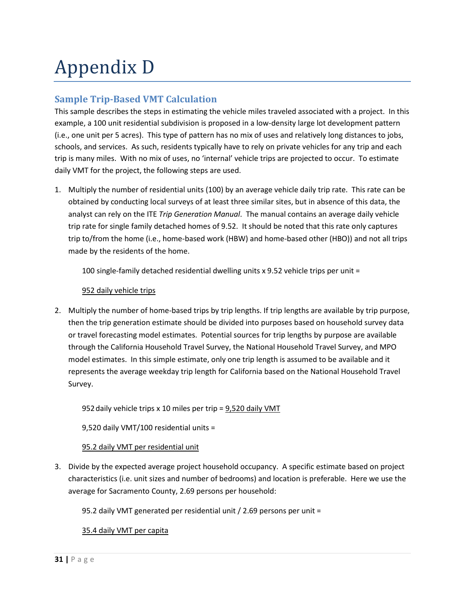# Appendix D

### **Sample Trip-Based VMT Calculation**

This sample describes the steps in estimating the vehicle miles traveled associated with a project. In this example, a 100 unit residential subdivision is proposed in a low-density large lot development pattern (i.e., one unit per 5 acres). This type of pattern has no mix of uses and relatively long distances to jobs, schools, and services. As such, residents typically have to rely on private vehicles for any trip and each trip is many miles. With no mix of uses, no 'internal' vehicle trips are projected to occur. To estimate daily VMT for the project, the following steps are used.

1. Multiply the number of residential units (100) by an average vehicle daily trip rate. This rate can be obtained by conducting local surveys of at least three similar sites, but in absence of this data, the analyst can rely on the ITE *Trip Generation Manual*. The manual contains an average daily vehicle trip rate for single family detached homes of 9.52. It should be noted that this rate only captures trip to/from the home (i.e., home-based work (HBW) and home-based other (HBO)) and not all trips made by the residents of the home.

100 single-family detached residential dwelling units x 9.52 vehicle trips per unit =

### 952 daily vehicle trips

2. Multiply the number of home-based trips by trip lengths. If trip lengths are available by trip purpose, then the trip generation estimate should be divided into purposes based on household survey data or travel forecasting model estimates. Potential sources for trip lengths by purpose are available through the California Household Travel Survey, the National Household Travel Survey, and MPO model estimates. In this simple estimate, only one trip length is assumed to be available and it represents the average weekday trip length for California based on the National Household Travel Survey.

952daily vehicle trips x 10 miles per trip = 9,520 daily VMT

9,520 daily VMT/100 residential units =

### 95.2 daily VMT per residential unit

3. Divide by the expected average project household occupancy. A specific estimate based on project characteristics (i.e. unit sizes and number of bedrooms) and location is preferable. Here we use the average for Sacramento County, 2.69 persons per household:

95.2 daily VMT generated per residential unit / 2.69 persons per unit =

### 35.4 daily VMT per capita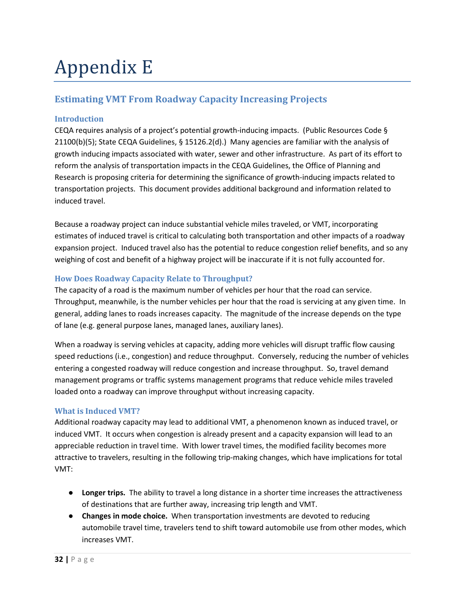# Appendix E

# **Estimating VMT From Roadway Capacity Increasing Projects**

### **Introduction**

CEQA requires analysis of a project's potential growth-inducing impacts. (Public Resources Code § 21100(b)(5); State CEQA Guidelines, § 15126.2(d).) Many agencies are familiar with the analysis of growth inducing impacts associated with water, sewer and other infrastructure. As part of its effort to reform the analysis of transportation impacts in the CEQA Guidelines, the Office of Planning and Research is proposing criteria for determining the significance of growth-inducing impacts related to transportation projects. This document provides additional background and information related to induced travel.

Because a roadway project can induce substantial vehicle miles traveled, or VMT, incorporating estimates of induced travel is critical to calculating both transportation and other impacts of a roadway expansion project. Induced travel also has the potential to reduce congestion relief benefits, and so any weighing of cost and benefit of a highway project will be inaccurate if it is not fully accounted for.

### **How Does Roadway Capacity Relate to Throughput?**

The capacity of a road is the maximum number of vehicles per hour that the road can service. Throughput, meanwhile, is the number vehicles per hour that the road is servicing at any given time. In general, adding lanes to roads increases capacity. The magnitude of the increase depends on the type of lane (e.g. general purpose lanes, managed lanes, auxiliary lanes).

When a roadway is serving vehicles at capacity, adding more vehicles will disrupt traffic flow causing speed reductions (i.e., congestion) and reduce throughput. Conversely, reducing the number of vehicles entering a congested roadway will reduce congestion and increase throughput. So, travel demand management programs or traffic systems management programs that reduce vehicle miles traveled loaded onto a roadway can improve throughput without increasing capacity.

### **What is Induced VMT?**

Additional roadway capacity may lead to additional VMT, a phenomenon known as induced travel, or induced VMT. It occurs when congestion is already present and a capacity expansion will lead to an appreciable reduction in travel time. With lower travel times, the modified facility becomes more attractive to travelers, resulting in the following trip-making changes, which have implications for total VMT:

- **Longer trips.** The ability to travel a long distance in a shorter time increases the attractiveness of destinations that are further away, increasing trip length and VMT.
- **Changes in mode choice.** When transportation investments are devoted to reducing automobile travel time, travelers tend to shift toward automobile use from other modes, which increases VMT.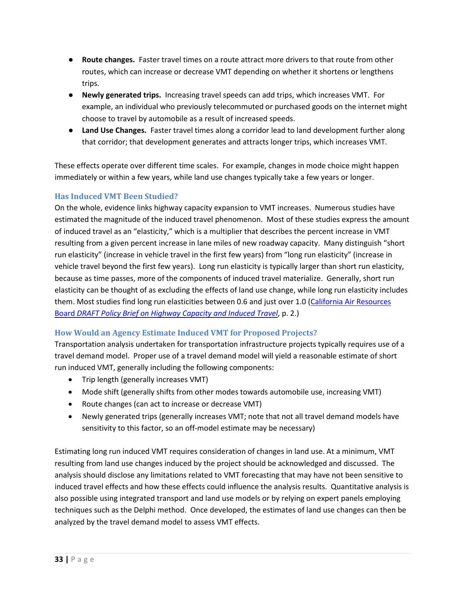- **Route changes.** Faster travel times on a route attract more drivers to that route from other routes, which can increase or decrease VMT depending on whether it shortens or lengthens trips.
- **Newly generated trips.** Increasing travel speeds can add trips, which increases VMT. For example, an individual who previously telecommuted or purchased goods on the internet might choose to travel by automobile as a result of increased speeds.
- **Land Use Changes.** Faster travel times along a corridor lead to land development further along that corridor; that development generates and attracts longer trips, which increases VMT.

These effects operate over different time scales. For example, changes in mode choice might happen immediately or within a few years, while land use changes typically take a few years or longer.

### **Has Induced VMT Been Studied?**

On the whole, evidence links highway capacity expansion to VMT increases. Numerous studies have estimated the magnitude of the induced travel phenomenon. Most of these studies express the amount of induced travel as an "elasticity," which is a multiplier that describes the percent increase in VMT resulting from a given percent increase in lane miles of new roadway capacity. Many distinguish "short run elasticity" (increase in vehicle travel in the first few years) from "long run elasticity" (increase in vehicle travel beyond the first few years). Long run elasticity is typically larger than short run elasticity, because as time passes, more of the components of induced travel materialize. Generally, short run elasticity can be thought of as excluding the effects of land use change, while long run elasticity includes them. Most studies find long run elasticities between 0.6 and just over 1.0 [\(California Air Resources](http://www.arb.ca.gov/cc/sb375/policies/hwycapacity/highway_capacity_brief-4-21-14.pdf)  Board *[DRAFT Policy Brief on Highway Capacity and Induced Travel](http://www.arb.ca.gov/cc/sb375/policies/hwycapacity/highway_capacity_brief-4-21-14.pdf)*, p. 2.)

### **How Would an Agency Estimate Induced VMT for Proposed Projects?**

Transportation analysis undertaken for transportation infrastructure projects typically requires use of a travel demand model. Proper use of a travel demand model will yield a reasonable estimate of short run induced VMT, generally including the following components:

- Trip length (generally increases VMT)
- Mode shift (generally shifts from other modes towards automobile use, increasing VMT)
- Route changes (can act to increase or decrease VMT)
- Newly generated trips (generally increases VMT; note that not all travel demand models have sensitivity to this factor, so an off-model estimate may be necessary)

Estimating long run induced VMT requires consideration of changes in land use. At a minimum, VMT resulting from land use changes induced by the project should be acknowledged and discussed. The analysis should disclose any limitations related to VMT forecasting that may have not been sensitive to induced travel effects and how these effects could influence the analysis results. Quantitative analysis is also possible using integrated transport and land use models or by relying on expert panels employing techniques such as the Delphi method. Once developed, the estimates of land use changes can then be analyzed by the travel demand model to assess VMT effects.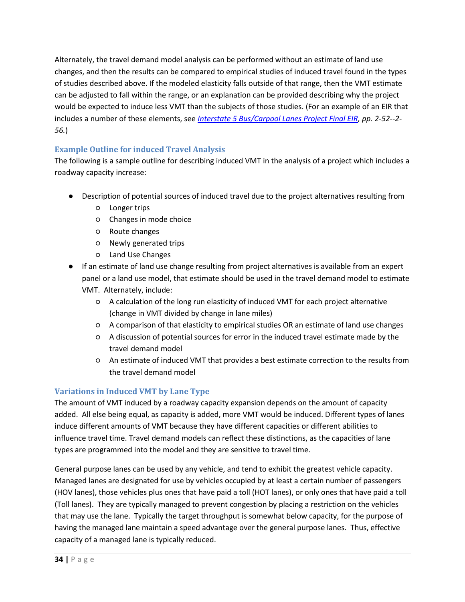Alternately, the travel demand model analysis can be performed without an estimate of land use changes, and then the results can be compared to empirical studies of induced travel found in the types of studies described above. If the modeled elasticity falls outside of that range, then the VMT estimate can be adjusted to fall within the range, or an explanation can be provided describing why the project would be expected to induce less VMT than the subjects of those studies. (For an example of an EIR that includes a number of these elements, see *[Interstate 5 Bus/Carpool Lanes Project Final EIR,](http://www.dot.ca.gov/dist3/Projects/00165/PDF/FinalEIR-EA.pdf) pp. 2-52--2- 56.*)

### **Example Outline for induced Travel Analysis**

The following is a sample outline for describing induced VMT in the analysis of a project which includes a roadway capacity increase:

- Description of potential sources of induced travel due to the project alternatives resulting from
	- Longer trips
	- Changes in mode choice
	- Route changes
	- Newly generated trips
	- Land Use Changes
- If an estimate of land use change resulting from project alternatives is available from an expert panel or a land use model, that estimate should be used in the travel demand model to estimate VMT. Alternately, include:
	- A calculation of the long run elasticity of induced VMT for each project alternative (change in VMT divided by change in lane miles)
	- A comparison of that elasticity to empirical studies OR an estimate of land use changes
	- A discussion of potential sources for error in the induced travel estimate made by the travel demand model
	- An estimate of induced VMT that provides a best estimate correction to the results from the travel demand model

### **Variations in Induced VMT by Lane Type**

The amount of VMT induced by a roadway capacity expansion depends on the amount of capacity added. All else being equal, as capacity is added, more VMT would be induced. Different types of lanes induce different amounts of VMT because they have different capacities or different abilities to influence travel time. Travel demand models can reflect these distinctions, as the capacities of lane types are programmed into the model and they are sensitive to travel time.

General purpose lanes can be used by any vehicle, and tend to exhibit the greatest vehicle capacity. Managed lanes are designated for use by vehicles occupied by at least a certain number of passengers (HOV lanes), those vehicles plus ones that have paid a toll (HOT lanes), or only ones that have paid a toll (Toll lanes). They are typically managed to prevent congestion by placing a restriction on the vehicles that may use the lane. Typically the target throughput is somewhat below capacity, for the purpose of having the managed lane maintain a speed advantage over the general purpose lanes. Thus, effective capacity of a managed lane is typically reduced.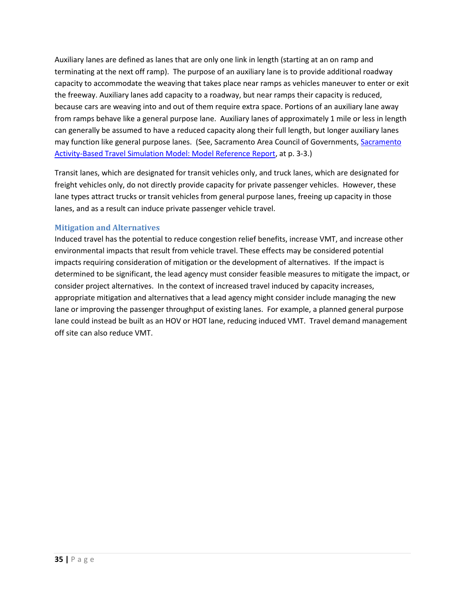Auxiliary lanes are defined as lanes that are only one link in length (starting at an on ramp and terminating at the next off ramp). The purpose of an auxiliary lane is to provide additional roadway capacity to accommodate the weaving that takes place near ramps as vehicles maneuver to enter or exit the freeway. Auxiliary lanes add capacity to a roadway, but near ramps their capacity is reduced, because cars are weaving into and out of them require extra space. Portions of an auxiliary lane away from ramps behave like a general purpose lane. Auxiliary lanes of approximately 1 mile or less in length can generally be assumed to have a reduced capacity along their full length, but longer auxiliary lanes may function like general purpose lanes. (See, [Sacramento](http://www.sacog.org/2035/files/MTP-SCS/appendices/C-4%20SACSIM%20Documentation.pdf) Area Council of Governments, Sacramento [Activity-Based Travel Simulation Model: Model Reference Report,](http://www.sacog.org/2035/files/MTP-SCS/appendices/C-4%20SACSIM%20Documentation.pdf) at p. 3-3.)

Transit lanes, which are designated for transit vehicles only, and truck lanes, which are designated for freight vehicles only, do not directly provide capacity for private passenger vehicles. However, these lane types attract trucks or transit vehicles from general purpose lanes, freeing up capacity in those lanes, and as a result can induce private passenger vehicle travel.

### **Mitigation and Alternatives**

Induced travel has the potential to reduce congestion relief benefits, increase VMT, and increase other environmental impacts that result from vehicle travel. These effects may be considered potential impacts requiring consideration of mitigation or the development of alternatives. If the impact is determined to be significant, the lead agency must consider feasible measures to mitigate the impact, or consider project alternatives. In the context of increased travel induced by capacity increases, appropriate mitigation and alternatives that a lead agency might consider include managing the new lane or improving the passenger throughput of existing lanes. For example, a planned general purpose lane could instead be built as an HOV or HOT lane, reducing induced VMT. Travel demand management off site can also reduce VMT.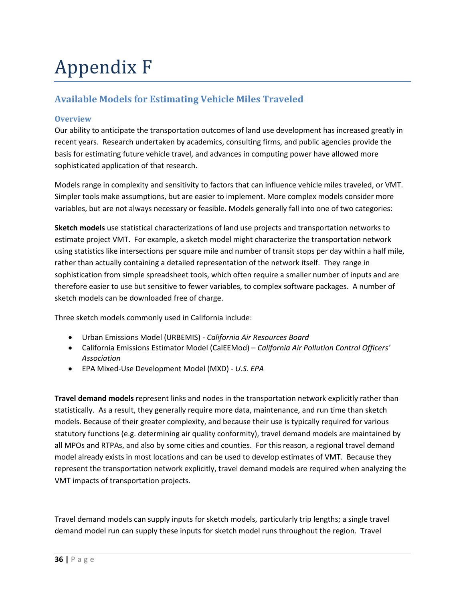# Appendix F

# **Available Models for Estimating Vehicle Miles Traveled**

### **Overview**

Our ability to anticipate the transportation outcomes of land use development has increased greatly in recent years. Research undertaken by academics, consulting firms, and public agencies provide the basis for estimating future vehicle travel, and advances in computing power have allowed more sophisticated application of that research.

Models range in complexity and sensitivity to factors that can influence vehicle miles traveled, or VMT. Simpler tools make assumptions, but are easier to implement. More complex models consider more variables, but are not always necessary or feasible. Models generally fall into one of two categories:

**Sketch models** use statistical characterizations of land use projects and transportation networks to estimate project VMT. For example, a sketch model might characterize the transportation network using statistics like intersections per square mile and number of transit stops per day within a half mile, rather than actually containing a detailed representation of the network itself. They range in sophistication from simple spreadsheet tools, which often require a smaller number of inputs and are therefore easier to use but sensitive to fewer variables, to complex software packages. A number of sketch models can be downloaded free of charge.

Three sketch models commonly used in California include:

- Urban Emissions Model (URBEMIS) *- California Air Resources Board*
- California Emissions Estimator Model (CalEEMod) *California Air Pollution Control Officers' Association*
- EPA Mixed-Use Development Model (MXD) *U.S. EPA*

**Travel demand models** represent links and nodes in the transportation network explicitly rather than statistically. As a result, they generally require more data, maintenance, and run time than sketch models. Because of their greater complexity, and because their use is typically required for various statutory functions (e.g. determining air quality conformity), travel demand models are maintained by all MPOs and RTPAs, and also by some cities and counties. For this reason, a regional travel demand model already exists in most locations and can be used to develop estimates of VMT. Because they represent the transportation network explicitly, travel demand models are required when analyzing the VMT impacts of transportation projects.

Travel demand models can supply inputs for sketch models, particularly trip lengths; a single travel demand model run can supply these inputs for sketch model runs throughout the region. Travel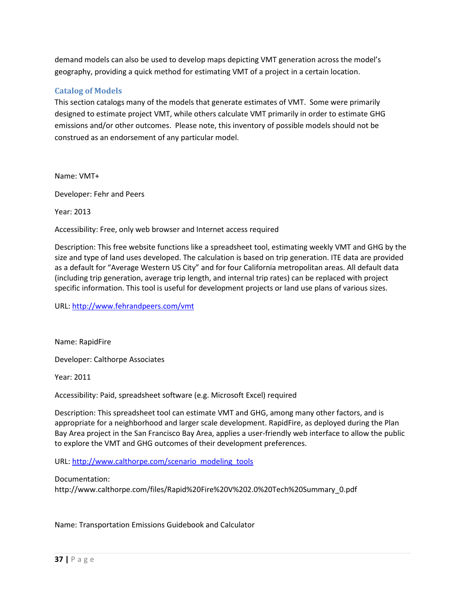demand models can also be used to develop maps depicting VMT generation across the model's geography, providing a quick method for estimating VMT of a project in a certain location.

### **Catalog of Models**

This section catalogs many of the models that generate estimates of VMT. Some were primarily designed to estimate project VMT, while others calculate VMT primarily in order to estimate GHG emissions and/or other outcomes. Please note, this inventory of possible models should not be construed as an endorsement of any particular model.

Name: VMT+

Developer: Fehr and Peers

Year: 2013

Accessibility: Free, only web browser and Internet access required

Description: This free website functions like a spreadsheet tool, estimating weekly VMT and GHG by the size and type of land uses developed. The calculation is based on trip generation. ITE data are provided as a default for "Average Western US City" and for four California metropolitan areas. All default data (including trip generation, average trip length, and internal trip rates) can be replaced with project specific information. This tool is useful for development projects or land use plans of various sizes.

URL:<http://www.fehrandpeers.com/vmt>

Name: RapidFire

Developer: Calthorpe Associates

Year: 2011

Accessibility: Paid, spreadsheet software (e.g. Microsoft Excel) required

Description: This spreadsheet tool can estimate VMT and GHG, among many other factors, and is appropriate for a neighborhood and larger scale development. RapidFire, as deployed during the Plan Bay Area project in the San Francisco Bay Area, applies a user-friendly web interface to allow the public to explore the VMT and GHG outcomes of their development preferences.

URL: [http://www.calthorpe.com/scenario\\_modeling\\_tools](http://www.calthorpe.com/scenario_modeling_tools)

Documentation:

http://www.calthorpe.com/files/Rapid%20Fire%20V%202.0%20Tech%20Summary\_0.pdf

Name: Transportation Emissions Guidebook and Calculator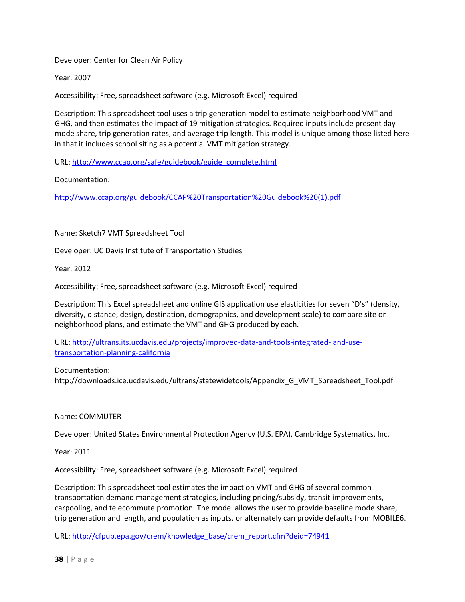Developer: Center for Clean Air Policy

Year: 2007

Accessibility: Free, spreadsheet software (e.g. Microsoft Excel) required

Description: This spreadsheet tool uses a trip generation model to estimate neighborhood VMT and GHG, and then estimates the impact of 19 mitigation strategies. Required inputs include present day mode share, trip generation rates, and average trip length. This model is unique among those listed here in that it includes school siting as a potential VMT mitigation strategy.

URL: [http://www.ccap.org/safe/guidebook/guide\\_complete.html](http://www.ccap.org/safe/guidebook/guide_complete.html)

Documentation:

[http://www.ccap.org/guidebook/CCAP%20Transportation%20Guidebook%20\(1\).pdf](http://www.ccap.org/guidebook/CCAP%20Transportation%20Guidebook%20(1).pdf)

Name: Sketch7 VMT Spreadsheet Tool

Developer: UC Davis Institute of Transportation Studies

Year: 2012

Accessibility: Free, spreadsheet software (e.g. Microsoft Excel) required

Description: This Excel spreadsheet and online GIS application use elasticities for seven "D's" (density, diversity, distance, design, destination, demographics, and development scale) to compare site or neighborhood plans, and estimate the VMT and GHG produced by each.

URL: [http://ultrans.its.ucdavis.edu/projects/improved-data-and-tools-integrated-land-use](http://ultrans.its.ucdavis.edu/projects/improved-data-and-tools-integrated-land-use-transportation-planning-california)[transportation-planning-california](http://ultrans.its.ucdavis.edu/projects/improved-data-and-tools-integrated-land-use-transportation-planning-california)

Documentation: http://downloads.ice.ucdavis.edu/ultrans/statewidetools/Appendix\_G\_VMT\_Spreadsheet\_Tool.pdf

Name: COMMUTER

Developer: United States Environmental Protection Agency (U.S. EPA), Cambridge Systematics, Inc.

Year: 2011

Accessibility: Free, spreadsheet software (e.g. Microsoft Excel) required

Description: This spreadsheet tool estimates the impact on VMT and GHG of several common transportation demand management strategies, including pricing/subsidy, transit improvements, carpooling, and telecommute promotion. The model allows the user to provide baseline mode share, trip generation and length, and population as inputs, or alternately can provide defaults from MOBILE6.

URL: [http://cfpub.epa.gov/crem/knowledge\\_base/crem\\_report.cfm?deid=74941](http://cfpub.epa.gov/crem/knowledge_base/crem_report.cfm?deid=74941)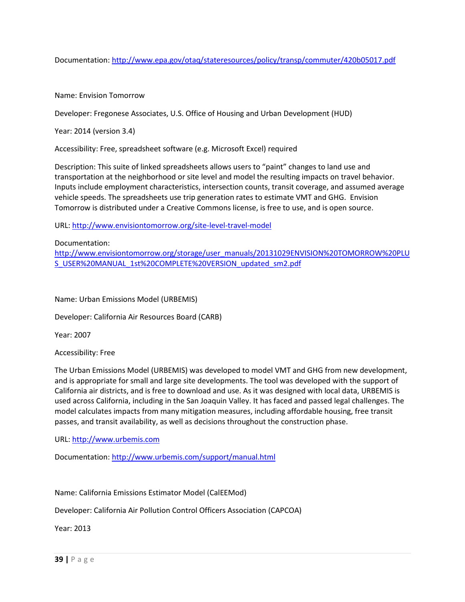Documentation:<http://www.epa.gov/otaq/stateresources/policy/transp/commuter/420b05017.pdf>

Name: Envision Tomorrow

Developer: Fregonese Associates, U.S. Office of Housing and Urban Development (HUD)

Year: 2014 (version 3.4)

Accessibility: Free, spreadsheet software (e.g. Microsoft Excel) required

Description: This suite of linked spreadsheets allows users to "paint" changes to land use and transportation at the neighborhood or site level and model the resulting impacts on travel behavior. Inputs include employment characteristics, intersection counts, transit coverage, and assumed average vehicle speeds. The spreadsheets use trip generation rates to estimate VMT and GHG. Envision Tomorrow is distributed under a Creative Commons license, is free to use, and is open source.

URL:<http://www.envisiontomorrow.org/site-level-travel-model>

Documentation: [http://www.envisiontomorrow.org/storage/user\\_manuals/20131029ENVISION%20TOMORROW%20PLU](http://www.envisiontomorrow.org/storage/user_manuals/20131029ENVISION%20TOMORROW%20PLUS_USER%20MANUAL_1st%20COMPLETE%20VERSION_updated_sm2.pdf) [S\\_USER%20MANUAL\\_1st%20COMPLETE%20VERSION\\_updated\\_sm2.pdf](http://www.envisiontomorrow.org/storage/user_manuals/20131029ENVISION%20TOMORROW%20PLUS_USER%20MANUAL_1st%20COMPLETE%20VERSION_updated_sm2.pdf)

Name: Urban Emissions Model (URBEMIS)

Developer: California Air Resources Board (CARB)

Year: 2007

Accessibility: Free

The Urban Emissions Model (URBEMIS) was developed to model VMT and GHG from new development, and is appropriate for small and large site developments. The tool was developed with the support of California air districts, and is free to download and use. As it was designed with local data, URBEMIS is used across California, including in the San Joaquin Valley. It has faced and passed legal challenges. The model calculates impacts from many mitigation measures, including affordable housing, free transit passes, and transit availability, as well as decisions throughout the construction phase.

URL: [http://www.urbemis.com](http://www.urbemis.com/)

Documentation:<http://www.urbemis.com/support/manual.html>

Name: California Emissions Estimator Model (CalEEMod)

Developer: California Air Pollution Control Officers Association (CAPCOA)

Year: 2013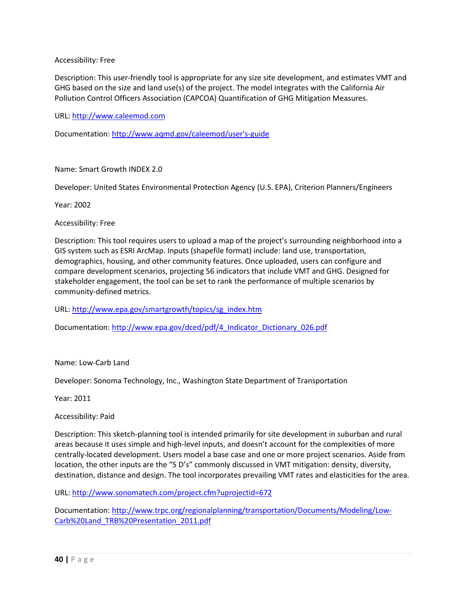### Accessibility: Free

Description: This user-friendly tool is appropriate for any size site development, and estimates VMT and GHG based on the size and land use(s) of the project. The model integrates with the California Air Pollution Control Officers Association (CAPCOA) Quantification of GHG Mitigation Measures.

URL: [http://www.caleemod.com](http://www.caleemod.com/)

Documentation: [http://www.aqmd.gov/caleemod/user's-guide](http://www.aqmd.gov/caleemod/user)

Name: Smart Growth INDEX 2.0

Developer: United States Environmental Protection Agency (U.S. EPA), Criterion Planners/Engineers

Year: 2002

Accessibility: Free

Description: This tool requires users to upload a map of the project's surrounding neighborhood into a GIS system such as ESRI ArcMap. Inputs (shapefile format) include: land use, transportation, demographics, housing, and other community features. Once uploaded, users can configure and compare development scenarios, projecting 56 indicators that include VMT and GHG. Designed for stakeholder engagement, the tool can be set to rank the performance of multiple scenarios by community-defined metrics.

URL: [http://www.epa.gov/smartgrowth/topics/sg\\_index.htm](http://www.epa.gov/smartgrowth/topics/sg_index.htm)

Documentation: [http://www.epa.gov/dced/pdf/4\\_Indicator\\_Dictionary\\_026.pdf](http://www.epa.gov/dced/pdf/4_Indicator_Dictionary_026.pdf)

Name: Low-Carb Land

Developer: Sonoma Technology, Inc., Washington State Department of Transportation

Year: 2011

Accessibility: Paid

Description: This sketch-planning tool is intended primarily for site development in suburban and rural areas because it uses simple and high-level inputs, and doesn't account for the complexities of more centrally-located development. Users model a base case and one or more project scenarios. Aside from location, the other inputs are the "5 D's" commonly discussed in VMT mitigation: density, diversity, destination, distance and design. The tool incorporates prevailing VMT rates and elasticities for the area.

URL:<http://www.sonomatech.com/project.cfm?uprojectid=672>

Documentation: [http://www.trpc.org/regionalplanning/transportation/Documents/Modeling/Low-](http://www.trpc.org/regionalplanning/transportation/Documents/Modeling/Low-Carb%20Land_TRB%20Presentation_2011.pdf)[Carb%20Land\\_TRB%20Presentation\\_2011.pdf](http://www.trpc.org/regionalplanning/transportation/Documents/Modeling/Low-Carb%20Land_TRB%20Presentation_2011.pdf)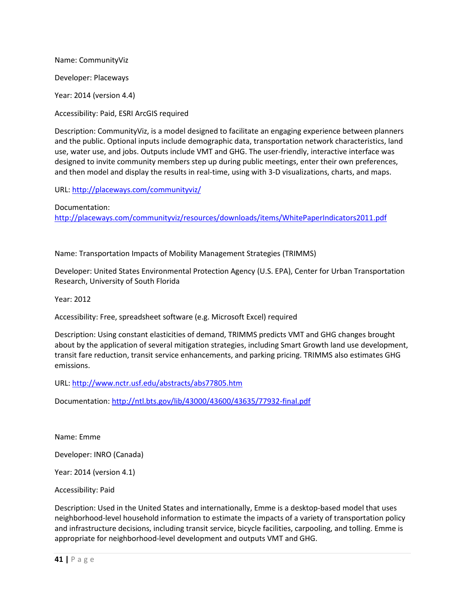Name: CommunityViz Developer: Placeways Year: 2014 (version 4.4)

Accessibility: Paid, ESRI ArcGIS required

Description: CommunityViz, is a model designed to facilitate an engaging experience between planners and the public. Optional inputs include demographic data, transportation network characteristics, land use, water use, and jobs. Outputs include VMT and GHG. The user-friendly, interactive interface was designed to invite community members step up during public meetings, enter their own preferences, and then model and display the results in real-time, using with 3-D visualizations, charts, and maps.

URL:<http://placeways.com/communityviz/>

Documentation: <http://placeways.com/communityviz/resources/downloads/items/WhitePaperIndicators2011.pdf>

Name: Transportation Impacts of Mobility Management Strategies (TRIMMS)

Developer: United States Environmental Protection Agency (U.S. EPA), Center for Urban Transportation Research, University of South Florida

Year: 2012

Accessibility: Free, spreadsheet software (e.g. Microsoft Excel) required

Description: Using constant elasticities of demand, TRIMMS predicts VMT and GHG changes brought about by the application of several mitigation strategies, including Smart Growth land use development, transit fare reduction, transit service enhancements, and parking pricing. TRIMMS also estimates GHG emissions.

URL:<http://www.nctr.usf.edu/abstracts/abs77805.htm>

Documentation:<http://ntl.bts.gov/lib/43000/43600/43635/77932-final.pdf>

Name: Emme

Developer: INRO (Canada)

Year: 2014 (version 4.1)

Accessibility: Paid

Description: Used in the United States and internationally, Emme is a desktop-based model that uses neighborhood-level household information to estimate the impacts of a variety of transportation policy and infrastructure decisions, including transit service, bicycle facilities, carpooling, and tolling. Emme is appropriate for neighborhood-level development and outputs VMT and GHG.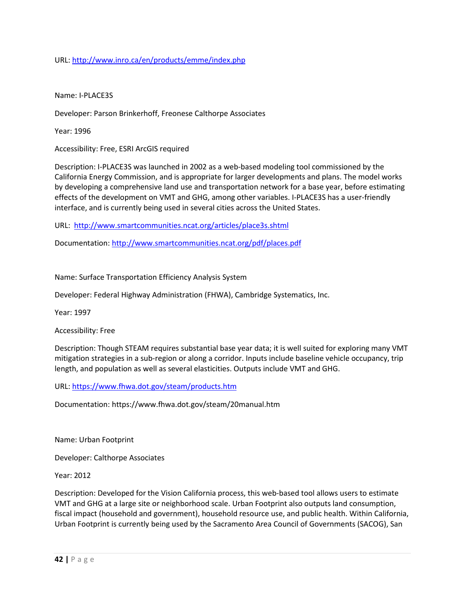URL:<http://www.inro.ca/en/products/emme/index.php>

Name: I-PLACE3S

Developer: Parson Brinkerhoff, Freonese Calthorpe Associates

Year: 1996

Accessibility: Free, ESRI ArcGIS required

Description: I-PLACE3S was launched in 2002 as a web-based modeling tool commissioned by the California Energy Commission, and is appropriate for larger developments and plans. The model works by developing a comprehensive land use and transportation network for a base year, before estimating effects of the development on VMT and GHG, among other variables. I-PLACE3S has a user-friendly interface, and is currently being used in several cities across the United States.

URL:<http://www.smartcommunities.ncat.org/articles/place3s.shtml>

Documentation:<http://www.smartcommunities.ncat.org/pdf/places.pdf>

Name: Surface Transportation Efficiency Analysis System

Developer: Federal Highway Administration (FHWA), Cambridge Systematics, Inc.

Year: 1997

Accessibility: Free

Description: Though STEAM requires substantial base year data; it is well suited for exploring many VMT mitigation strategies in a sub-region or along a corridor. Inputs include baseline vehicle occupancy, trip length, and population as well as several elasticities. Outputs include VMT and GHG.

URL:<https://www.fhwa.dot.gov/steam/products.htm>

Documentation: https://www.fhwa.dot.gov/steam/20manual.htm

Name: Urban Footprint

Developer: Calthorpe Associates

Year: 2012

Description: Developed for the Vision California process, this web-based tool allows users to estimate VMT and GHG at a large site or neighborhood scale. Urban Footprint also outputs land consumption, fiscal impact (household and government), household resource use, and public health. Within California, Urban Footprint is currently being used by the Sacramento Area Council of Governments (SACOG), San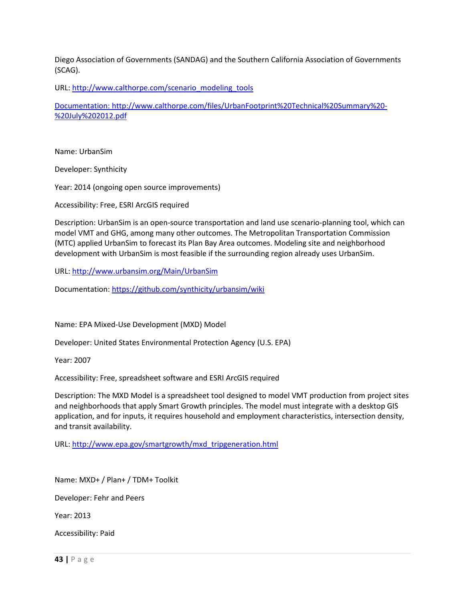Diego Association of Governments (SANDAG) and the Southern California Association of Governments (SCAG).

URL: [http://www.calthorpe.com/scenario\\_modeling\\_tools](http://www.calthorpe.com/scenario_modeling_tools)

Documentation: http://www.calthorpe.com/files/UrbanFootprint%20Technical%20Summary%20- %20July%202012.pdf

Name: UrbanSim

Developer: Synthicity

Year: 2014 (ongoing open source improvements)

Accessibility: Free, ESRI ArcGIS required

Description: UrbanSim is an open-source transportation and land use scenario-planning tool, which can model VMT and GHG, among many other outcomes. The Metropolitan Transportation Commission (MTC) applied UrbanSim to forecast its Plan Bay Area outcomes. Modeling site and neighborhood development with UrbanSim is most feasible if the surrounding region already uses UrbanSim.

URL:<http://www.urbansim.org/Main/UrbanSim>

Documentation: https://github.com/synthicity/urbansim/wiki

Name: EPA Mixed-Use Development (MXD) Model

Developer: United States Environmental Protection Agency (U.S. EPA)

Year: 2007

Accessibility: Free, spreadsheet software and ESRI ArcGIS required

Description: The MXD Model is a spreadsheet tool designed to model VMT production from project sites and neighborhoods that apply Smart Growth principles. The model must integrate with a desktop GIS application, and for inputs, it requires household and employment characteristics, intersection density, and transit availability.

URL: [http://www.epa.gov/smartgrowth/mxd\\_tripgeneration.html](http://www.epa.gov/smartgrowth/mxd_tripgeneration.html)

Name: MXD+ / Plan+ / TDM+ Toolkit

Developer: Fehr and Peers

Year: 2013

Accessibility: Paid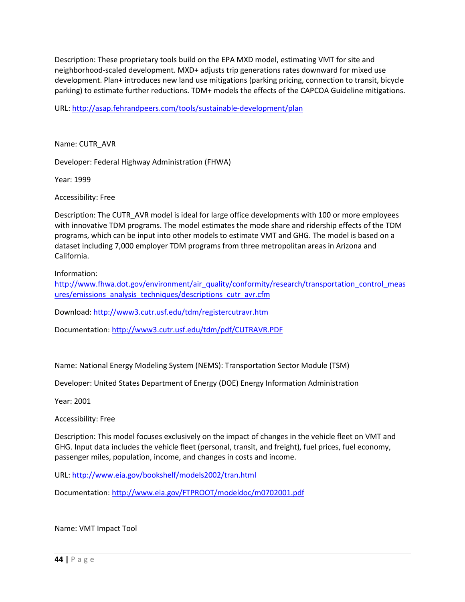Description: These proprietary tools build on the EPA MXD model, estimating VMT for site and neighborhood-scaled development. MXD+ adjusts trip generations rates downward for mixed use development. Plan+ introduces new land use mitigations (parking pricing, connection to transit, bicycle parking) to estimate further reductions. TDM+ models the effects of the CAPCOA Guideline mitigations.

URL:<http://asap.fehrandpeers.com/tools/sustainable-development/plan>

Name: CUTR\_AVR

Developer: Federal Highway Administration (FHWA)

Year: 1999

Accessibility: Free

Description: The CUTR\_AVR model is ideal for large office developments with 100 or more employees with innovative TDM programs. The model estimates the mode share and ridership effects of the TDM programs, which can be input into other models to estimate VMT and GHG. The model is based on a dataset including 7,000 employer TDM programs from three metropolitan areas in Arizona and California.

Information:

[http://www.fhwa.dot.gov/environment/air\\_quality/conformity/research/transportation\\_control\\_meas](http://www.fhwa.dot.gov/environment/air_quality/conformity/research/transportation_control_measures/emissions_analysis_techniques/descriptions_cutr_avr.cfm) [ures/emissions\\_analysis\\_techniques/descriptions\\_cutr\\_avr.cfm](http://www.fhwa.dot.gov/environment/air_quality/conformity/research/transportation_control_measures/emissions_analysis_techniques/descriptions_cutr_avr.cfm)

Download:<http://www3.cutr.usf.edu/tdm/registercutravr.htm>

Documentation:<http://www3.cutr.usf.edu/tdm/pdf/CUTRAVR.PDF>

Name: National Energy Modeling System (NEMS): Transportation Sector Module (TSM)

Developer: United States Department of Energy (DOE) Energy Information Administration

Year: 2001

Accessibility: Free

Description: This model focuses exclusively on the impact of changes in the vehicle fleet on VMT and GHG. Input data includes the vehicle fleet (personal, transit, and freight), fuel prices, fuel economy, passenger miles, population, income, and changes in costs and income.

URL:<http://www.eia.gov/bookshelf/models2002/tran.html>

Documentation:<http://www.eia.gov/FTPROOT/modeldoc/m0702001.pdf>

Name: VMT Impact Tool